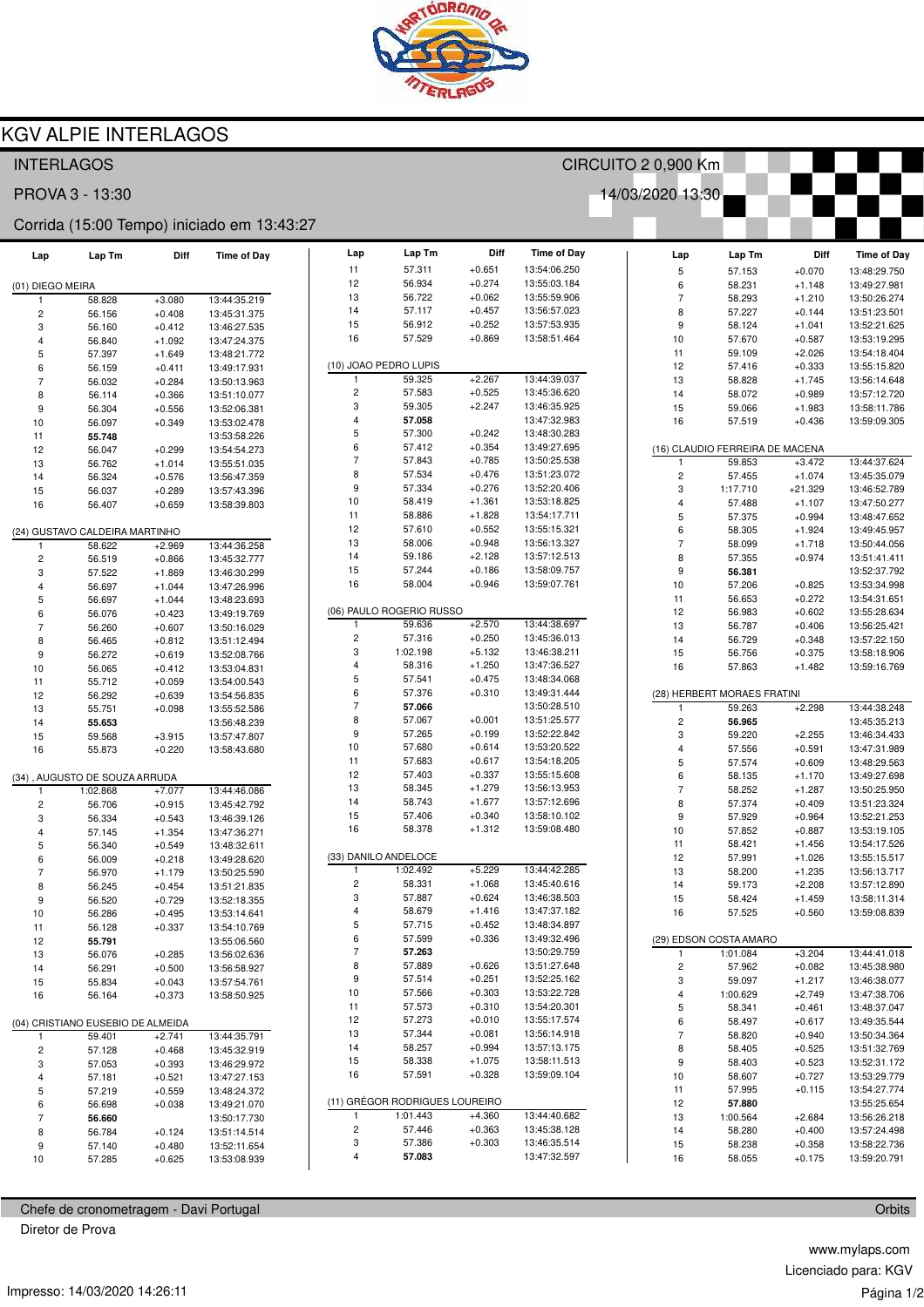

## **KGV ALPIE INTERLAGOS**

| 14/03/2020 13:30<br>PROVA 3 - 13:30<br>Corrida (15:00 Tempo) iniciado em 13:43:27<br>Diff<br>Lap<br><b>Time of Day</b><br>Lap Tm<br>Lap<br>Lap Tm<br>Diff<br><b>Time of Day</b><br>Lap Tm<br>Diff<br><b>Time of Day</b><br>Lap<br>$+0.651$<br>11<br>57.311<br>13:54:06.250<br>5<br>57.153<br>$+0.070$<br>13:48:29.750<br>56.934<br>$+0.274$<br>12<br>13:55:03.184<br>6<br>58.231<br>$+1.148$<br>13:49:27.981<br>(01) DIEGO MEIRA<br>$+0.062$<br>$\overline{7}$<br>13<br>56.722<br>13:55:59.906<br>58.828<br>13:44:35.219<br>58.293<br>$+1.210$<br>13:50:26.274<br>$+3.080$<br>$\mathbf{1}$<br>14<br>57.117<br>$+0.457$<br>13:56:57.023<br>8<br>57.227<br>$+0.144$<br>13:51:23.501<br>$\overline{c}$<br>56.156<br>$+0.408$<br>13:45:31.375<br>$+0.252$<br>15<br>56.912<br>13:57:53.935<br>9<br>58.124<br>$+1.041$<br>13:52:21.625<br>3<br>$+0.412$<br>56.160<br>13:46:27.535<br>16<br>57.529<br>$+0.869$<br>13:58:51.464<br>10<br>57.670<br>$+0.587$<br>13:53:19.295<br>4<br>56.840<br>$+1.092$<br>13:47:24.375<br>11<br>59.109<br>$+2.026$<br>13:54:18.404<br>5<br>57.397<br>$+1.649$<br>13:48:21.772<br>(10) JOAO PEDRO LUPIS<br>12<br>$+0.333$<br>57.416<br>13:55:15.820<br>6<br>56.159<br>$+0.411$<br>13:49:17.931<br>59.325<br>$+2.267$<br>13:44:39.037<br>-1<br>13<br>58.828<br>$+1.745$<br>13:56:14.648<br>$\overline{7}$<br>56.032<br>$+0.284$<br>13:50:13.963<br>$\sqrt{2}$<br>$+0.525$<br>57.583<br>13:45:36.620<br>14<br>58.072<br>$+0.989$<br>13:57:12.720<br>8<br>56.114<br>$+0.366$<br>13:51:10.077<br>3<br>59.305<br>$+2.247$<br>13:46:35.925<br>15<br>59.066<br>$+1.983$<br>13:58:11.786<br>9<br>56.304<br>$+0.556$<br>13:52:06.381<br>$\overline{4}$<br>57.058<br>13:47:32.983<br>16<br>57.519<br>$+0.436$<br>13:59:09.305<br>10<br>56.097<br>$+0.349$<br>13:53:02.478<br>$\sqrt{5}$<br>57.300<br>$+0.242$<br>13:48:30.283<br>55.748<br>13:53:58.226<br>11<br>6<br>$+0.354$<br>57.412<br>13:49:27.695<br>(16) CLAUDIO FERREIRA DE MACENA<br>12<br>56.047<br>$+0.299$<br>13:54:54.273<br>$\overline{7}$<br>$+0.785$<br>57.843<br>13:50:25.538<br>59.853<br>$+3.472$<br>13:44:37.624<br>1<br>13<br>56.762<br>$+1.014$<br>13:55:51.035<br>8<br>$+0.476$<br>57.534<br>13:51:23.072<br>$\overline{c}$<br>57.455<br>$+1.074$<br>13:45:35.079<br>14<br>56.324<br>$+0.576$<br>13:56:47.359<br>9<br>$+0.276$<br>57.334<br>13:52:20.406<br>3<br>1:17.710<br>$+21.329$<br>13:46:52.789<br>15<br>56.037<br>13:57:43.396<br>$+0.289$<br>10<br>58.419<br>$+1.361$<br>13:53:18.825<br>$\overline{4}$<br>57.488<br>$+1.107$<br>13:47:50.277<br>$+0.659$<br>16<br>56.407<br>13:58:39.803<br>$+1.828$<br>11<br>58.886<br>13:54:17.711<br>5<br>57.375<br>13:48:47.652<br>$+0.994$<br>12<br>57.610<br>$+0.552$<br>13:55:15.321<br>6<br>58.305<br>$+1.924$<br>13:49:45.957<br>(24) GUSTAVO CALDEIRA MARTINHO<br>13<br>58.006<br>$+0.948$<br>13:56:13.327<br>$\overline{7}$<br>58.099<br>$+1.718$<br>13:50:44.056<br>58.622<br>$+2.969$<br>13:44:36.258<br>-1<br>14<br>59.186<br>$+2.128$<br>13:57:12.513<br>8<br>57.355<br>$+0.974$<br>13:51:41.411<br>$\overline{c}$<br>56.519<br>$+0.866$<br>13:45:32.777<br>15<br>57.244<br>$+0.186$<br>13:58:09.757<br>9<br>3<br>56.381<br>13:52:37.792<br>57.522<br>$+1.869$<br>13:46:30.299<br>16<br>$+0.946$<br>58.004<br>13:59:07.761<br>10<br>57.206<br>$+0.825$<br>13:53:34.998<br>4<br>56.697<br>$+1.044$<br>13:47:26.996<br>11<br>56.653<br>$+0.272$<br>13:54:31.651<br>5<br>56.697<br>$+1.044$<br>13:48:23.693<br>(06) PAULO ROGERIO RUSSO<br>12<br>56.983<br>$+0.602$<br>13:55:28.634<br>6<br>56.076<br>$+0.423$<br>13:49:19.769<br>$+2.570$<br>59.636<br>13:44:38.697<br>13<br>-1<br>56.787<br>$+0.406$<br>13:56:25.421<br>$\overline{7}$<br>56.260<br>$+0.607$<br>13:50:16.029<br>$\overline{c}$<br>57.316<br>$+0.250$<br>13:45:36.013<br>14<br>56.729<br>$+0.348$<br>13:57:22.150<br>8<br>56.465<br>$+0.812$<br>13:51:12.494<br>3<br>$+5.132$<br>1:02.198<br>13:46:38.211<br>15<br>56.756<br>$+0.375$<br>13:58:18.906<br>9<br>56.272<br>$+0.619$<br>13:52:08.766<br>$\overline{4}$<br>58.316<br>$+1.250$<br>13:47:36.527<br>16<br>$+1.482$<br>57.863<br>13:59:16.769<br>10<br>56.065<br>$+0.412$<br>13:53:04.831<br>5<br>$+0.475$<br>57.541<br>13:48:34.068<br>11<br>55.712<br>$+0.059$<br>13:54:00.543<br>6<br>$+0.310$<br>57.376<br>13:49:31.444<br>(28) HERBERT MORAES FRATINI<br>12<br>56.292<br>$+0.639$<br>13:54:56.835<br>$\overline{7}$<br>13:50:28.510<br>$+2.298$<br>13:44:38.248<br>57.066<br>59.263<br>$\mathbf{1}$<br>13<br>55.751<br>$+0.098$<br>13:55:52.586<br>8<br>57.067<br>$+0.001$<br>13:51:25.577<br>$\overline{\mathbf{c}}$<br>13:45:35.213<br>56.965<br>14<br>55.653<br>13:56:48.239<br>9<br>57.265<br>$+0.199$<br>13:52:22.842<br>3<br>59.220<br>$+2.255$<br>13:46:34.433<br>15<br>59.568<br>$+3.915$<br>13:57:47.807<br>10<br>$+0.614$<br>13:53:20.522<br>57.680<br>$\overline{4}$<br>57.556<br>$+0.591$<br>13:47:31.989<br>16<br>55.873<br>$+0.220$<br>13:58:43.680<br>11<br>57.683<br>$+0.617$<br>13:54:18.205<br>5<br>57.574<br>$+0.609$<br>13:48:29.563<br>12<br>$+0.337$<br>57.403<br>13:55:15.608<br>6<br>58.135<br>$+1.170$<br>13:49:27.698<br>(34), AUGUSTO DE SOUZA ARRUDA<br>13<br>$+1.279$<br>58.345<br>13:56:13.953<br>$\overline{7}$<br>58.252<br>$+1.287$<br>13:50:25.950<br>1:02.868<br>$+7.077$<br>13:44:46.086<br>$\mathbf{1}$<br>14<br>58.743<br>$+1.677$<br>13:57:12.696<br>8<br>57.374<br>$+0.409$<br>13:51:23.324<br>$\overline{\mathbf{c}}$<br>56.706<br>$+0.915$<br>13:45:42.792<br>$+0.340$<br>15<br>57.406<br>13:58:10.102<br>9<br>57.929<br>$+0.964$<br>13:52:21.253<br>3<br>56.334<br>$+0.543$<br>13:46:39.126<br>16<br>58.378<br>$+1.312$<br>13:59:08.480<br>10<br>57.852<br>$+0.887$<br>13:53:19.105<br>$+1.354$<br>4<br>57.145<br>13:47:36.271<br>11<br>58.421<br>$+1.456$<br>13:54:17.526<br>5<br>56.340<br>$+0.549$<br>13:48:32.611<br>(33) DANILO ANDELOCE<br>12<br>57.991<br>$+1.026$<br>13:55:15.517<br>6<br>56.009<br>$+0.218$<br>13:49:28.620<br>13:44:42.285<br>1:02.492<br>$+5.229$<br>$\mathbf{1}$<br>13<br>58.200<br>$+1.235$<br>13:56:13.717<br>$\overline{7}$<br>56.970<br>$+1.179$<br>13:50:25.590<br>$\sqrt{2}$<br>58.331<br>$+1.068$<br>13:45:40.616<br>14<br>59.173<br>$+2.208$<br>13:57:12.890<br>8<br>56.245<br>$+0.454$<br>13:51:21.835<br>3<br>57.887<br>$+0.624$<br>13:46:38.503<br>15<br>58.424<br>$+1.459$<br>13:58:11.314<br>9<br>56.520<br>$+0.729$<br>13:52:18.355<br>58.679<br>$+1.416$<br>13:47:37.182<br>4<br>16<br>57.525<br>$+0.560$<br>13:59:08.839<br>10<br>56.286<br>$+0.495$<br>13:53:14.641<br>5<br>57.715<br>$+0.452$<br>13:48:34.897<br>11<br>56.128<br>$+0.337$<br>13:54:10.769<br>6<br>57.599<br>$+0.336$<br>13:49:32.496<br>(29) EDSON COSTA AMARO<br>12<br>13:55:06.560<br>55.791<br>$\overline{7}$<br>57.263<br>13:50:29.759<br>1:01.084<br>$+3.204$<br>13:44:41.018<br>$\mathbf{1}$<br>13<br>56.076<br>$+0.285$<br>13:56:02.636<br>8<br>57.889<br>$+0.626$<br>13:51:27.648<br>$\overline{\mathbf{c}}$<br>57.962<br>$+0.082$<br>13:45:38.980<br>56.291<br>$+0.500$<br>14<br>13:56:58.927<br>9<br>57.514<br>$+0.251$<br>13:52:25.162<br>3<br>59.097<br>$+1.217$<br>13:46:38.077<br>15<br>55.834<br>$+0.043$<br>13:57:54.761<br>10<br>57.566<br>$+0.303$<br>13:53:22.728<br>4<br>1:00.629<br>$+2.749$<br>13:47:38.706<br>16<br>56.164<br>$+0.373$<br>13:58:50.925<br>11<br>57.573<br>$+0.310$<br>13:54:20.301<br>5<br>58.341<br>$+0.461$<br>13:48:37.047<br>12<br>57.273<br>$+0.010$<br>13:55:17.574<br>6<br>58.497<br>$+0.617$<br>13:49:35.544<br>(04) CRISTIANO EUSEBIO DE ALMEIDA<br>13<br>57.344<br>$+0.081$<br>$\overline{7}$<br>13:56:14.918<br>58.820<br>$+0.940$<br>13:50:34.364<br>59.401<br>$+2.741$<br>13:44:35.791<br>-1<br>14<br>58.257<br>$+0.994$<br>13:57:13.175<br>8<br>$+0.525$<br>13:51:32.769<br>$\overline{c}$<br>58.405<br>57.128<br>$+0.468$<br>13:45:32.919<br>15<br>58.338<br>$+1.075$<br>13:58:11.513<br>9<br>58.403<br>$+0.523$<br>13:52:31.172<br>3<br>57.053<br>$+0.393$<br>13:46:29.972<br>$+0.328$<br>16<br>57.591<br>13:59:09.104<br>$10$<br>58.607<br>$+0.727$<br>13:53:29.779<br>4<br>57.181<br>$+0.521$<br>13:47:27.153<br>11<br>57.995<br>$+0.115$<br>13:54:27.774<br>5<br>57.219<br>$+0.559$<br>13:48:24.372<br>(11) GRÉGOR RODRIGUES LOUREIRO<br>12<br>13:55:25.654<br>57.880<br>6<br>56.698<br>$+0.038$<br>13:49:21.070<br>1:01.443<br>$+4.360$<br>13:44:40.682<br>$\mathbf{1}$<br>13<br>1:00.564<br>13:56:26.218<br>$+2.684$<br>$\overline{7}$<br>56.660<br>13:50:17.730<br>$\overline{c}$<br>57.446<br>$+0.363$<br>13:45:38.128<br>14<br>58.280<br>$+0.400$<br>13:57:24.498<br>8<br>56.784<br>$+0.124$<br>13:51:14.514<br>3<br>57.386<br>$+0.303$<br>13:46:35.514<br>15<br>58.238<br>13:58:22.736<br>$+0.358$<br>9<br>57.140<br>$+0.480$<br>13:52:11.654<br>13:47:32.597<br>4<br>57.083<br>16<br>58.055<br>$+0.175$<br>13:59:20.791<br>10<br>57.285<br>$+0.625$<br>13:53:08.939 | <b>INTERLAGOS</b> |  |  |  |  | CIRCUITO 2 0,900 Km |  |  |  |  |  |  |  |
|-----------------------------------------------------------------------------------------------------------------------------------------------------------------------------------------------------------------------------------------------------------------------------------------------------------------------------------------------------------------------------------------------------------------------------------------------------------------------------------------------------------------------------------------------------------------------------------------------------------------------------------------------------------------------------------------------------------------------------------------------------------------------------------------------------------------------------------------------------------------------------------------------------------------------------------------------------------------------------------------------------------------------------------------------------------------------------------------------------------------------------------------------------------------------------------------------------------------------------------------------------------------------------------------------------------------------------------------------------------------------------------------------------------------------------------------------------------------------------------------------------------------------------------------------------------------------------------------------------------------------------------------------------------------------------------------------------------------------------------------------------------------------------------------------------------------------------------------------------------------------------------------------------------------------------------------------------------------------------------------------------------------------------------------------------------------------------------------------------------------------------------------------------------------------------------------------------------------------------------------------------------------------------------------------------------------------------------------------------------------------------------------------------------------------------------------------------------------------------------------------------------------------------------------------------------------------------------------------------------------------------------------------------------------------------------------------------------------------------------------------------------------------------------------------------------------------------------------------------------------------------------------------------------------------------------------------------------------------------------------------------------------------------------------------------------------------------------------------------------------------------------------------------------------------------------------------------------------------------------------------------------------------------------------------------------------------------------------------------------------------------------------------------------------------------------------------------------------------------------------------------------------------------------------------------------------------------------------------------------------------------------------------------------------------------------------------------------------------------------------------------------------------------------------------------------------------------------------------------------------------------------------------------------------------------------------------------------------------------------------------------------------------------------------------------------------------------------------------------------------------------------------------------------------------------------------------------------------------------------------------------------------------------------------------------------------------------------------------------------------------------------------------------------------------------------------------------------------------------------------------------------------------------------------------------------------------------------------------------------------------------------------------------------------------------------------------------------------------------------------------------------------------------------------------------------------------------------------------------------------------------------------------------------------------------------------------------------------------------------------------------------------------------------------------------------------------------------------------------------------------------------------------------------------------------------------------------------------------------------------------------------------------------------------------------------------------------------------------------------------------------------------------------------------------------------------------------------------------------------------------------------------------------------------------------------------------------------------------------------------------------------------------------------------------------------------------------------------------------------------------------------------------------------------------------------------------------------------------------------------------------------------------------------------------------------------------------------------------------------------------------------------------------------------------------------------------------------------------------------------------------------------------------------------------------------------------------------------------------------------------------------------------------------------------------------------------------------------------------------------------------------------------------------------------------------------------------------------------------------------------------------------------------------------------------------------------------------------------------------------------------------------------------------------------------------------------------------------------------------------------------------------------------------------------------------------------------------------------------------------------------------------------------------------------------------------------------------------------------------------------------------------------------------------------------------------------------------------------------------------------------------------------------------------------------------------------------------------------------------------------------------------------------------------------------------------------------------------------------------------------------------------------------------------------------------------------------------------------------------------------------------------------------------------------------------------------------------------------------------------------------------------------------------------------------------------------------------------------------------------------------------------------------------------------------------------------------------------------------------------------------------------------------------------------------------------------------------------------------------------------------------------------------------------------------------------------------------------------------------------------------------------------------------------------------------------------------------------------------------------------------------------------------------------------------------------------------------------------------------------------------------------------------------------------------------------------------------------------------------------------------------------------------------------------------------------------------------------------------------------------------------------------------------------------------------------------------------------------------------------------------------------------------------------------------------------------------------------------------------------------|-------------------|--|--|--|--|---------------------|--|--|--|--|--|--|--|
|                                                                                                                                                                                                                                                                                                                                                                                                                                                                                                                                                                                                                                                                                                                                                                                                                                                                                                                                                                                                                                                                                                                                                                                                                                                                                                                                                                                                                                                                                                                                                                                                                                                                                                                                                                                                                                                                                                                                                                                                                                                                                                                                                                                                                                                                                                                                                                                                                                                                                                                                                                                                                                                                                                                                                                                                                                                                                                                                                                                                                                                                                                                                                                                                                                                                                                                                                                                                                                                                                                                                                                                                                                                                                                                                                                                                                                                                                                                                                                                                                                                                                                                                                                                                                                                                                                                                                                                                                                                                                                                                                                                                                                                                                                                                                                                                                                                                                                                                                                                                                                                                                                                                                                                                                                                                                                                                                                                                                                                                                                                                                                                                                                                                                                                                                                                                                                                                                                                                                                                                                                                                                                                                                                                                                                                                                                                                                                                                                                                                                                                                                                                                                                                                                                                                                                                                                                                                                                                                                                                                                                                                                                                                                                                                                                                                                                                                                                                                                                                                                                                                                                                                                                                                                                                                                                                                                                                                                                                                                                                                                                                                                                                                                                                                                                                                                                                                                                                                                                                                                                                                                                                                                                                                                                                                                                                                                                                                       |                   |  |  |  |  |                     |  |  |  |  |  |  |  |
|                                                                                                                                                                                                                                                                                                                                                                                                                                                                                                                                                                                                                                                                                                                                                                                                                                                                                                                                                                                                                                                                                                                                                                                                                                                                                                                                                                                                                                                                                                                                                                                                                                                                                                                                                                                                                                                                                                                                                                                                                                                                                                                                                                                                                                                                                                                                                                                                                                                                                                                                                                                                                                                                                                                                                                                                                                                                                                                                                                                                                                                                                                                                                                                                                                                                                                                                                                                                                                                                                                                                                                                                                                                                                                                                                                                                                                                                                                                                                                                                                                                                                                                                                                                                                                                                                                                                                                                                                                                                                                                                                                                                                                                                                                                                                                                                                                                                                                                                                                                                                                                                                                                                                                                                                                                                                                                                                                                                                                                                                                                                                                                                                                                                                                                                                                                                                                                                                                                                                                                                                                                                                                                                                                                                                                                                                                                                                                                                                                                                                                                                                                                                                                                                                                                                                                                                                                                                                                                                                                                                                                                                                                                                                                                                                                                                                                                                                                                                                                                                                                                                                                                                                                                                                                                                                                                                                                                                                                                                                                                                                                                                                                                                                                                                                                                                                                                                                                                                                                                                                                                                                                                                                                                                                                                                                                                                                                                                       |                   |  |  |  |  |                     |  |  |  |  |  |  |  |
|                                                                                                                                                                                                                                                                                                                                                                                                                                                                                                                                                                                                                                                                                                                                                                                                                                                                                                                                                                                                                                                                                                                                                                                                                                                                                                                                                                                                                                                                                                                                                                                                                                                                                                                                                                                                                                                                                                                                                                                                                                                                                                                                                                                                                                                                                                                                                                                                                                                                                                                                                                                                                                                                                                                                                                                                                                                                                                                                                                                                                                                                                                                                                                                                                                                                                                                                                                                                                                                                                                                                                                                                                                                                                                                                                                                                                                                                                                                                                                                                                                                                                                                                                                                                                                                                                                                                                                                                                                                                                                                                                                                                                                                                                                                                                                                                                                                                                                                                                                                                                                                                                                                                                                                                                                                                                                                                                                                                                                                                                                                                                                                                                                                                                                                                                                                                                                                                                                                                                                                                                                                                                                                                                                                                                                                                                                                                                                                                                                                                                                                                                                                                                                                                                                                                                                                                                                                                                                                                                                                                                                                                                                                                                                                                                                                                                                                                                                                                                                                                                                                                                                                                                                                                                                                                                                                                                                                                                                                                                                                                                                                                                                                                                                                                                                                                                                                                                                                                                                                                                                                                                                                                                                                                                                                                                                                                                                                                       |                   |  |  |  |  |                     |  |  |  |  |  |  |  |
|                                                                                                                                                                                                                                                                                                                                                                                                                                                                                                                                                                                                                                                                                                                                                                                                                                                                                                                                                                                                                                                                                                                                                                                                                                                                                                                                                                                                                                                                                                                                                                                                                                                                                                                                                                                                                                                                                                                                                                                                                                                                                                                                                                                                                                                                                                                                                                                                                                                                                                                                                                                                                                                                                                                                                                                                                                                                                                                                                                                                                                                                                                                                                                                                                                                                                                                                                                                                                                                                                                                                                                                                                                                                                                                                                                                                                                                                                                                                                                                                                                                                                                                                                                                                                                                                                                                                                                                                                                                                                                                                                                                                                                                                                                                                                                                                                                                                                                                                                                                                                                                                                                                                                                                                                                                                                                                                                                                                                                                                                                                                                                                                                                                                                                                                                                                                                                                                                                                                                                                                                                                                                                                                                                                                                                                                                                                                                                                                                                                                                                                                                                                                                                                                                                                                                                                                                                                                                                                                                                                                                                                                                                                                                                                                                                                                                                                                                                                                                                                                                                                                                                                                                                                                                                                                                                                                                                                                                                                                                                                                                                                                                                                                                                                                                                                                                                                                                                                                                                                                                                                                                                                                                                                                                                                                                                                                                                                                       |                   |  |  |  |  |                     |  |  |  |  |  |  |  |
|                                                                                                                                                                                                                                                                                                                                                                                                                                                                                                                                                                                                                                                                                                                                                                                                                                                                                                                                                                                                                                                                                                                                                                                                                                                                                                                                                                                                                                                                                                                                                                                                                                                                                                                                                                                                                                                                                                                                                                                                                                                                                                                                                                                                                                                                                                                                                                                                                                                                                                                                                                                                                                                                                                                                                                                                                                                                                                                                                                                                                                                                                                                                                                                                                                                                                                                                                                                                                                                                                                                                                                                                                                                                                                                                                                                                                                                                                                                                                                                                                                                                                                                                                                                                                                                                                                                                                                                                                                                                                                                                                                                                                                                                                                                                                                                                                                                                                                                                                                                                                                                                                                                                                                                                                                                                                                                                                                                                                                                                                                                                                                                                                                                                                                                                                                                                                                                                                                                                                                                                                                                                                                                                                                                                                                                                                                                                                                                                                                                                                                                                                                                                                                                                                                                                                                                                                                                                                                                                                                                                                                                                                                                                                                                                                                                                                                                                                                                                                                                                                                                                                                                                                                                                                                                                                                                                                                                                                                                                                                                                                                                                                                                                                                                                                                                                                                                                                                                                                                                                                                                                                                                                                                                                                                                                                                                                                                                                       |                   |  |  |  |  |                     |  |  |  |  |  |  |  |
|                                                                                                                                                                                                                                                                                                                                                                                                                                                                                                                                                                                                                                                                                                                                                                                                                                                                                                                                                                                                                                                                                                                                                                                                                                                                                                                                                                                                                                                                                                                                                                                                                                                                                                                                                                                                                                                                                                                                                                                                                                                                                                                                                                                                                                                                                                                                                                                                                                                                                                                                                                                                                                                                                                                                                                                                                                                                                                                                                                                                                                                                                                                                                                                                                                                                                                                                                                                                                                                                                                                                                                                                                                                                                                                                                                                                                                                                                                                                                                                                                                                                                                                                                                                                                                                                                                                                                                                                                                                                                                                                                                                                                                                                                                                                                                                                                                                                                                                                                                                                                                                                                                                                                                                                                                                                                                                                                                                                                                                                                                                                                                                                                                                                                                                                                                                                                                                                                                                                                                                                                                                                                                                                                                                                                                                                                                                                                                                                                                                                                                                                                                                                                                                                                                                                                                                                                                                                                                                                                                                                                                                                                                                                                                                                                                                                                                                                                                                                                                                                                                                                                                                                                                                                                                                                                                                                                                                                                                                                                                                                                                                                                                                                                                                                                                                                                                                                                                                                                                                                                                                                                                                                                                                                                                                                                                                                                                                                       |                   |  |  |  |  |                     |  |  |  |  |  |  |  |
|                                                                                                                                                                                                                                                                                                                                                                                                                                                                                                                                                                                                                                                                                                                                                                                                                                                                                                                                                                                                                                                                                                                                                                                                                                                                                                                                                                                                                                                                                                                                                                                                                                                                                                                                                                                                                                                                                                                                                                                                                                                                                                                                                                                                                                                                                                                                                                                                                                                                                                                                                                                                                                                                                                                                                                                                                                                                                                                                                                                                                                                                                                                                                                                                                                                                                                                                                                                                                                                                                                                                                                                                                                                                                                                                                                                                                                                                                                                                                                                                                                                                                                                                                                                                                                                                                                                                                                                                                                                                                                                                                                                                                                                                                                                                                                                                                                                                                                                                                                                                                                                                                                                                                                                                                                                                                                                                                                                                                                                                                                                                                                                                                                                                                                                                                                                                                                                                                                                                                                                                                                                                                                                                                                                                                                                                                                                                                                                                                                                                                                                                                                                                                                                                                                                                                                                                                                                                                                                                                                                                                                                                                                                                                                                                                                                                                                                                                                                                                                                                                                                                                                                                                                                                                                                                                                                                                                                                                                                                                                                                                                                                                                                                                                                                                                                                                                                                                                                                                                                                                                                                                                                                                                                                                                                                                                                                                                                                       |                   |  |  |  |  |                     |  |  |  |  |  |  |  |
|                                                                                                                                                                                                                                                                                                                                                                                                                                                                                                                                                                                                                                                                                                                                                                                                                                                                                                                                                                                                                                                                                                                                                                                                                                                                                                                                                                                                                                                                                                                                                                                                                                                                                                                                                                                                                                                                                                                                                                                                                                                                                                                                                                                                                                                                                                                                                                                                                                                                                                                                                                                                                                                                                                                                                                                                                                                                                                                                                                                                                                                                                                                                                                                                                                                                                                                                                                                                                                                                                                                                                                                                                                                                                                                                                                                                                                                                                                                                                                                                                                                                                                                                                                                                                                                                                                                                                                                                                                                                                                                                                                                                                                                                                                                                                                                                                                                                                                                                                                                                                                                                                                                                                                                                                                                                                                                                                                                                                                                                                                                                                                                                                                                                                                                                                                                                                                                                                                                                                                                                                                                                                                                                                                                                                                                                                                                                                                                                                                                                                                                                                                                                                                                                                                                                                                                                                                                                                                                                                                                                                                                                                                                                                                                                                                                                                                                                                                                                                                                                                                                                                                                                                                                                                                                                                                                                                                                                                                                                                                                                                                                                                                                                                                                                                                                                                                                                                                                                                                                                                                                                                                                                                                                                                                                                                                                                                                                                       |                   |  |  |  |  |                     |  |  |  |  |  |  |  |
|                                                                                                                                                                                                                                                                                                                                                                                                                                                                                                                                                                                                                                                                                                                                                                                                                                                                                                                                                                                                                                                                                                                                                                                                                                                                                                                                                                                                                                                                                                                                                                                                                                                                                                                                                                                                                                                                                                                                                                                                                                                                                                                                                                                                                                                                                                                                                                                                                                                                                                                                                                                                                                                                                                                                                                                                                                                                                                                                                                                                                                                                                                                                                                                                                                                                                                                                                                                                                                                                                                                                                                                                                                                                                                                                                                                                                                                                                                                                                                                                                                                                                                                                                                                                                                                                                                                                                                                                                                                                                                                                                                                                                                                                                                                                                                                                                                                                                                                                                                                                                                                                                                                                                                                                                                                                                                                                                                                                                                                                                                                                                                                                                                                                                                                                                                                                                                                                                                                                                                                                                                                                                                                                                                                                                                                                                                                                                                                                                                                                                                                                                                                                                                                                                                                                                                                                                                                                                                                                                                                                                                                                                                                                                                                                                                                                                                                                                                                                                                                                                                                                                                                                                                                                                                                                                                                                                                                                                                                                                                                                                                                                                                                                                                                                                                                                                                                                                                                                                                                                                                                                                                                                                                                                                                                                                                                                                                                                       |                   |  |  |  |  |                     |  |  |  |  |  |  |  |
|                                                                                                                                                                                                                                                                                                                                                                                                                                                                                                                                                                                                                                                                                                                                                                                                                                                                                                                                                                                                                                                                                                                                                                                                                                                                                                                                                                                                                                                                                                                                                                                                                                                                                                                                                                                                                                                                                                                                                                                                                                                                                                                                                                                                                                                                                                                                                                                                                                                                                                                                                                                                                                                                                                                                                                                                                                                                                                                                                                                                                                                                                                                                                                                                                                                                                                                                                                                                                                                                                                                                                                                                                                                                                                                                                                                                                                                                                                                                                                                                                                                                                                                                                                                                                                                                                                                                                                                                                                                                                                                                                                                                                                                                                                                                                                                                                                                                                                                                                                                                                                                                                                                                                                                                                                                                                                                                                                                                                                                                                                                                                                                                                                                                                                                                                                                                                                                                                                                                                                                                                                                                                                                                                                                                                                                                                                                                                                                                                                                                                                                                                                                                                                                                                                                                                                                                                                                                                                                                                                                                                                                                                                                                                                                                                                                                                                                                                                                                                                                                                                                                                                                                                                                                                                                                                                                                                                                                                                                                                                                                                                                                                                                                                                                                                                                                                                                                                                                                                                                                                                                                                                                                                                                                                                                                                                                                                                                                       |                   |  |  |  |  |                     |  |  |  |  |  |  |  |
|                                                                                                                                                                                                                                                                                                                                                                                                                                                                                                                                                                                                                                                                                                                                                                                                                                                                                                                                                                                                                                                                                                                                                                                                                                                                                                                                                                                                                                                                                                                                                                                                                                                                                                                                                                                                                                                                                                                                                                                                                                                                                                                                                                                                                                                                                                                                                                                                                                                                                                                                                                                                                                                                                                                                                                                                                                                                                                                                                                                                                                                                                                                                                                                                                                                                                                                                                                                                                                                                                                                                                                                                                                                                                                                                                                                                                                                                                                                                                                                                                                                                                                                                                                                                                                                                                                                                                                                                                                                                                                                                                                                                                                                                                                                                                                                                                                                                                                                                                                                                                                                                                                                                                                                                                                                                                                                                                                                                                                                                                                                                                                                                                                                                                                                                                                                                                                                                                                                                                                                                                                                                                                                                                                                                                                                                                                                                                                                                                                                                                                                                                                                                                                                                                                                                                                                                                                                                                                                                                                                                                                                                                                                                                                                                                                                                                                                                                                                                                                                                                                                                                                                                                                                                                                                                                                                                                                                                                                                                                                                                                                                                                                                                                                                                                                                                                                                                                                                                                                                                                                                                                                                                                                                                                                                                                                                                                                                                       |                   |  |  |  |  |                     |  |  |  |  |  |  |  |
|                                                                                                                                                                                                                                                                                                                                                                                                                                                                                                                                                                                                                                                                                                                                                                                                                                                                                                                                                                                                                                                                                                                                                                                                                                                                                                                                                                                                                                                                                                                                                                                                                                                                                                                                                                                                                                                                                                                                                                                                                                                                                                                                                                                                                                                                                                                                                                                                                                                                                                                                                                                                                                                                                                                                                                                                                                                                                                                                                                                                                                                                                                                                                                                                                                                                                                                                                                                                                                                                                                                                                                                                                                                                                                                                                                                                                                                                                                                                                                                                                                                                                                                                                                                                                                                                                                                                                                                                                                                                                                                                                                                                                                                                                                                                                                                                                                                                                                                                                                                                                                                                                                                                                                                                                                                                                                                                                                                                                                                                                                                                                                                                                                                                                                                                                                                                                                                                                                                                                                                                                                                                                                                                                                                                                                                                                                                                                                                                                                                                                                                                                                                                                                                                                                                                                                                                                                                                                                                                                                                                                                                                                                                                                                                                                                                                                                                                                                                                                                                                                                                                                                                                                                                                                                                                                                                                                                                                                                                                                                                                                                                                                                                                                                                                                                                                                                                                                                                                                                                                                                                                                                                                                                                                                                                                                                                                                                                                       |                   |  |  |  |  |                     |  |  |  |  |  |  |  |
|                                                                                                                                                                                                                                                                                                                                                                                                                                                                                                                                                                                                                                                                                                                                                                                                                                                                                                                                                                                                                                                                                                                                                                                                                                                                                                                                                                                                                                                                                                                                                                                                                                                                                                                                                                                                                                                                                                                                                                                                                                                                                                                                                                                                                                                                                                                                                                                                                                                                                                                                                                                                                                                                                                                                                                                                                                                                                                                                                                                                                                                                                                                                                                                                                                                                                                                                                                                                                                                                                                                                                                                                                                                                                                                                                                                                                                                                                                                                                                                                                                                                                                                                                                                                                                                                                                                                                                                                                                                                                                                                                                                                                                                                                                                                                                                                                                                                                                                                                                                                                                                                                                                                                                                                                                                                                                                                                                                                                                                                                                                                                                                                                                                                                                                                                                                                                                                                                                                                                                                                                                                                                                                                                                                                                                                                                                                                                                                                                                                                                                                                                                                                                                                                                                                                                                                                                                                                                                                                                                                                                                                                                                                                                                                                                                                                                                                                                                                                                                                                                                                                                                                                                                                                                                                                                                                                                                                                                                                                                                                                                                                                                                                                                                                                                                                                                                                                                                                                                                                                                                                                                                                                                                                                                                                                                                                                                                                                       |                   |  |  |  |  |                     |  |  |  |  |  |  |  |
|                                                                                                                                                                                                                                                                                                                                                                                                                                                                                                                                                                                                                                                                                                                                                                                                                                                                                                                                                                                                                                                                                                                                                                                                                                                                                                                                                                                                                                                                                                                                                                                                                                                                                                                                                                                                                                                                                                                                                                                                                                                                                                                                                                                                                                                                                                                                                                                                                                                                                                                                                                                                                                                                                                                                                                                                                                                                                                                                                                                                                                                                                                                                                                                                                                                                                                                                                                                                                                                                                                                                                                                                                                                                                                                                                                                                                                                                                                                                                                                                                                                                                                                                                                                                                                                                                                                                                                                                                                                                                                                                                                                                                                                                                                                                                                                                                                                                                                                                                                                                                                                                                                                                                                                                                                                                                                                                                                                                                                                                                                                                                                                                                                                                                                                                                                                                                                                                                                                                                                                                                                                                                                                                                                                                                                                                                                                                                                                                                                                                                                                                                                                                                                                                                                                                                                                                                                                                                                                                                                                                                                                                                                                                                                                                                                                                                                                                                                                                                                                                                                                                                                                                                                                                                                                                                                                                                                                                                                                                                                                                                                                                                                                                                                                                                                                                                                                                                                                                                                                                                                                                                                                                                                                                                                                                                                                                                                                                       |                   |  |  |  |  |                     |  |  |  |  |  |  |  |
|                                                                                                                                                                                                                                                                                                                                                                                                                                                                                                                                                                                                                                                                                                                                                                                                                                                                                                                                                                                                                                                                                                                                                                                                                                                                                                                                                                                                                                                                                                                                                                                                                                                                                                                                                                                                                                                                                                                                                                                                                                                                                                                                                                                                                                                                                                                                                                                                                                                                                                                                                                                                                                                                                                                                                                                                                                                                                                                                                                                                                                                                                                                                                                                                                                                                                                                                                                                                                                                                                                                                                                                                                                                                                                                                                                                                                                                                                                                                                                                                                                                                                                                                                                                                                                                                                                                                                                                                                                                                                                                                                                                                                                                                                                                                                                                                                                                                                                                                                                                                                                                                                                                                                                                                                                                                                                                                                                                                                                                                                                                                                                                                                                                                                                                                                                                                                                                                                                                                                                                                                                                                                                                                                                                                                                                                                                                                                                                                                                                                                                                                                                                                                                                                                                                                                                                                                                                                                                                                                                                                                                                                                                                                                                                                                                                                                                                                                                                                                                                                                                                                                                                                                                                                                                                                                                                                                                                                                                                                                                                                                                                                                                                                                                                                                                                                                                                                                                                                                                                                                                                                                                                                                                                                                                                                                                                                                                                                       |                   |  |  |  |  |                     |  |  |  |  |  |  |  |
|                                                                                                                                                                                                                                                                                                                                                                                                                                                                                                                                                                                                                                                                                                                                                                                                                                                                                                                                                                                                                                                                                                                                                                                                                                                                                                                                                                                                                                                                                                                                                                                                                                                                                                                                                                                                                                                                                                                                                                                                                                                                                                                                                                                                                                                                                                                                                                                                                                                                                                                                                                                                                                                                                                                                                                                                                                                                                                                                                                                                                                                                                                                                                                                                                                                                                                                                                                                                                                                                                                                                                                                                                                                                                                                                                                                                                                                                                                                                                                                                                                                                                                                                                                                                                                                                                                                                                                                                                                                                                                                                                                                                                                                                                                                                                                                                                                                                                                                                                                                                                                                                                                                                                                                                                                                                                                                                                                                                                                                                                                                                                                                                                                                                                                                                                                                                                                                                                                                                                                                                                                                                                                                                                                                                                                                                                                                                                                                                                                                                                                                                                                                                                                                                                                                                                                                                                                                                                                                                                                                                                                                                                                                                                                                                                                                                                                                                                                                                                                                                                                                                                                                                                                                                                                                                                                                                                                                                                                                                                                                                                                                                                                                                                                                                                                                                                                                                                                                                                                                                                                                                                                                                                                                                                                                                                                                                                                                                       |                   |  |  |  |  |                     |  |  |  |  |  |  |  |
|                                                                                                                                                                                                                                                                                                                                                                                                                                                                                                                                                                                                                                                                                                                                                                                                                                                                                                                                                                                                                                                                                                                                                                                                                                                                                                                                                                                                                                                                                                                                                                                                                                                                                                                                                                                                                                                                                                                                                                                                                                                                                                                                                                                                                                                                                                                                                                                                                                                                                                                                                                                                                                                                                                                                                                                                                                                                                                                                                                                                                                                                                                                                                                                                                                                                                                                                                                                                                                                                                                                                                                                                                                                                                                                                                                                                                                                                                                                                                                                                                                                                                                                                                                                                                                                                                                                                                                                                                                                                                                                                                                                                                                                                                                                                                                                                                                                                                                                                                                                                                                                                                                                                                                                                                                                                                                                                                                                                                                                                                                                                                                                                                                                                                                                                                                                                                                                                                                                                                                                                                                                                                                                                                                                                                                                                                                                                                                                                                                                                                                                                                                                                                                                                                                                                                                                                                                                                                                                                                                                                                                                                                                                                                                                                                                                                                                                                                                                                                                                                                                                                                                                                                                                                                                                                                                                                                                                                                                                                                                                                                                                                                                                                                                                                                                                                                                                                                                                                                                                                                                                                                                                                                                                                                                                                                                                                                                                                       |                   |  |  |  |  |                     |  |  |  |  |  |  |  |
|                                                                                                                                                                                                                                                                                                                                                                                                                                                                                                                                                                                                                                                                                                                                                                                                                                                                                                                                                                                                                                                                                                                                                                                                                                                                                                                                                                                                                                                                                                                                                                                                                                                                                                                                                                                                                                                                                                                                                                                                                                                                                                                                                                                                                                                                                                                                                                                                                                                                                                                                                                                                                                                                                                                                                                                                                                                                                                                                                                                                                                                                                                                                                                                                                                                                                                                                                                                                                                                                                                                                                                                                                                                                                                                                                                                                                                                                                                                                                                                                                                                                                                                                                                                                                                                                                                                                                                                                                                                                                                                                                                                                                                                                                                                                                                                                                                                                                                                                                                                                                                                                                                                                                                                                                                                                                                                                                                                                                                                                                                                                                                                                                                                                                                                                                                                                                                                                                                                                                                                                                                                                                                                                                                                                                                                                                                                                                                                                                                                                                                                                                                                                                                                                                                                                                                                                                                                                                                                                                                                                                                                                                                                                                                                                                                                                                                                                                                                                                                                                                                                                                                                                                                                                                                                                                                                                                                                                                                                                                                                                                                                                                                                                                                                                                                                                                                                                                                                                                                                                                                                                                                                                                                                                                                                                                                                                                                                                       |                   |  |  |  |  |                     |  |  |  |  |  |  |  |
|                                                                                                                                                                                                                                                                                                                                                                                                                                                                                                                                                                                                                                                                                                                                                                                                                                                                                                                                                                                                                                                                                                                                                                                                                                                                                                                                                                                                                                                                                                                                                                                                                                                                                                                                                                                                                                                                                                                                                                                                                                                                                                                                                                                                                                                                                                                                                                                                                                                                                                                                                                                                                                                                                                                                                                                                                                                                                                                                                                                                                                                                                                                                                                                                                                                                                                                                                                                                                                                                                                                                                                                                                                                                                                                                                                                                                                                                                                                                                                                                                                                                                                                                                                                                                                                                                                                                                                                                                                                                                                                                                                                                                                                                                                                                                                                                                                                                                                                                                                                                                                                                                                                                                                                                                                                                                                                                                                                                                                                                                                                                                                                                                                                                                                                                                                                                                                                                                                                                                                                                                                                                                                                                                                                                                                                                                                                                                                                                                                                                                                                                                                                                                                                                                                                                                                                                                                                                                                                                                                                                                                                                                                                                                                                                                                                                                                                                                                                                                                                                                                                                                                                                                                                                                                                                                                                                                                                                                                                                                                                                                                                                                                                                                                                                                                                                                                                                                                                                                                                                                                                                                                                                                                                                                                                                                                                                                                                                       |                   |  |  |  |  |                     |  |  |  |  |  |  |  |
|                                                                                                                                                                                                                                                                                                                                                                                                                                                                                                                                                                                                                                                                                                                                                                                                                                                                                                                                                                                                                                                                                                                                                                                                                                                                                                                                                                                                                                                                                                                                                                                                                                                                                                                                                                                                                                                                                                                                                                                                                                                                                                                                                                                                                                                                                                                                                                                                                                                                                                                                                                                                                                                                                                                                                                                                                                                                                                                                                                                                                                                                                                                                                                                                                                                                                                                                                                                                                                                                                                                                                                                                                                                                                                                                                                                                                                                                                                                                                                                                                                                                                                                                                                                                                                                                                                                                                                                                                                                                                                                                                                                                                                                                                                                                                                                                                                                                                                                                                                                                                                                                                                                                                                                                                                                                                                                                                                                                                                                                                                                                                                                                                                                                                                                                                                                                                                                                                                                                                                                                                                                                                                                                                                                                                                                                                                                                                                                                                                                                                                                                                                                                                                                                                                                                                                                                                                                                                                                                                                                                                                                                                                                                                                                                                                                                                                                                                                                                                                                                                                                                                                                                                                                                                                                                                                                                                                                                                                                                                                                                                                                                                                                                                                                                                                                                                                                                                                                                                                                                                                                                                                                                                                                                                                                                                                                                                                                                       |                   |  |  |  |  |                     |  |  |  |  |  |  |  |
|                                                                                                                                                                                                                                                                                                                                                                                                                                                                                                                                                                                                                                                                                                                                                                                                                                                                                                                                                                                                                                                                                                                                                                                                                                                                                                                                                                                                                                                                                                                                                                                                                                                                                                                                                                                                                                                                                                                                                                                                                                                                                                                                                                                                                                                                                                                                                                                                                                                                                                                                                                                                                                                                                                                                                                                                                                                                                                                                                                                                                                                                                                                                                                                                                                                                                                                                                                                                                                                                                                                                                                                                                                                                                                                                                                                                                                                                                                                                                                                                                                                                                                                                                                                                                                                                                                                                                                                                                                                                                                                                                                                                                                                                                                                                                                                                                                                                                                                                                                                                                                                                                                                                                                                                                                                                                                                                                                                                                                                                                                                                                                                                                                                                                                                                                                                                                                                                                                                                                                                                                                                                                                                                                                                                                                                                                                                                                                                                                                                                                                                                                                                                                                                                                                                                                                                                                                                                                                                                                                                                                                                                                                                                                                                                                                                                                                                                                                                                                                                                                                                                                                                                                                                                                                                                                                                                                                                                                                                                                                                                                                                                                                                                                                                                                                                                                                                                                                                                                                                                                                                                                                                                                                                                                                                                                                                                                                                                       |                   |  |  |  |  |                     |  |  |  |  |  |  |  |
|                                                                                                                                                                                                                                                                                                                                                                                                                                                                                                                                                                                                                                                                                                                                                                                                                                                                                                                                                                                                                                                                                                                                                                                                                                                                                                                                                                                                                                                                                                                                                                                                                                                                                                                                                                                                                                                                                                                                                                                                                                                                                                                                                                                                                                                                                                                                                                                                                                                                                                                                                                                                                                                                                                                                                                                                                                                                                                                                                                                                                                                                                                                                                                                                                                                                                                                                                                                                                                                                                                                                                                                                                                                                                                                                                                                                                                                                                                                                                                                                                                                                                                                                                                                                                                                                                                                                                                                                                                                                                                                                                                                                                                                                                                                                                                                                                                                                                                                                                                                                                                                                                                                                                                                                                                                                                                                                                                                                                                                                                                                                                                                                                                                                                                                                                                                                                                                                                                                                                                                                                                                                                                                                                                                                                                                                                                                                                                                                                                                                                                                                                                                                                                                                                                                                                                                                                                                                                                                                                                                                                                                                                                                                                                                                                                                                                                                                                                                                                                                                                                                                                                                                                                                                                                                                                                                                                                                                                                                                                                                                                                                                                                                                                                                                                                                                                                                                                                                                                                                                                                                                                                                                                                                                                                                                                                                                                                                                       |                   |  |  |  |  |                     |  |  |  |  |  |  |  |
|                                                                                                                                                                                                                                                                                                                                                                                                                                                                                                                                                                                                                                                                                                                                                                                                                                                                                                                                                                                                                                                                                                                                                                                                                                                                                                                                                                                                                                                                                                                                                                                                                                                                                                                                                                                                                                                                                                                                                                                                                                                                                                                                                                                                                                                                                                                                                                                                                                                                                                                                                                                                                                                                                                                                                                                                                                                                                                                                                                                                                                                                                                                                                                                                                                                                                                                                                                                                                                                                                                                                                                                                                                                                                                                                                                                                                                                                                                                                                                                                                                                                                                                                                                                                                                                                                                                                                                                                                                                                                                                                                                                                                                                                                                                                                                                                                                                                                                                                                                                                                                                                                                                                                                                                                                                                                                                                                                                                                                                                                                                                                                                                                                                                                                                                                                                                                                                                                                                                                                                                                                                                                                                                                                                                                                                                                                                                                                                                                                                                                                                                                                                                                                                                                                                                                                                                                                                                                                                                                                                                                                                                                                                                                                                                                                                                                                                                                                                                                                                                                                                                                                                                                                                                                                                                                                                                                                                                                                                                                                                                                                                                                                                                                                                                                                                                                                                                                                                                                                                                                                                                                                                                                                                                                                                                                                                                                                                                       |                   |  |  |  |  |                     |  |  |  |  |  |  |  |
|                                                                                                                                                                                                                                                                                                                                                                                                                                                                                                                                                                                                                                                                                                                                                                                                                                                                                                                                                                                                                                                                                                                                                                                                                                                                                                                                                                                                                                                                                                                                                                                                                                                                                                                                                                                                                                                                                                                                                                                                                                                                                                                                                                                                                                                                                                                                                                                                                                                                                                                                                                                                                                                                                                                                                                                                                                                                                                                                                                                                                                                                                                                                                                                                                                                                                                                                                                                                                                                                                                                                                                                                                                                                                                                                                                                                                                                                                                                                                                                                                                                                                                                                                                                                                                                                                                                                                                                                                                                                                                                                                                                                                                                                                                                                                                                                                                                                                                                                                                                                                                                                                                                                                                                                                                                                                                                                                                                                                                                                                                                                                                                                                                                                                                                                                                                                                                                                                                                                                                                                                                                                                                                                                                                                                                                                                                                                                                                                                                                                                                                                                                                                                                                                                                                                                                                                                                                                                                                                                                                                                                                                                                                                                                                                                                                                                                                                                                                                                                                                                                                                                                                                                                                                                                                                                                                                                                                                                                                                                                                                                                                                                                                                                                                                                                                                                                                                                                                                                                                                                                                                                                                                                                                                                                                                                                                                                                                                       |                   |  |  |  |  |                     |  |  |  |  |  |  |  |
|                                                                                                                                                                                                                                                                                                                                                                                                                                                                                                                                                                                                                                                                                                                                                                                                                                                                                                                                                                                                                                                                                                                                                                                                                                                                                                                                                                                                                                                                                                                                                                                                                                                                                                                                                                                                                                                                                                                                                                                                                                                                                                                                                                                                                                                                                                                                                                                                                                                                                                                                                                                                                                                                                                                                                                                                                                                                                                                                                                                                                                                                                                                                                                                                                                                                                                                                                                                                                                                                                                                                                                                                                                                                                                                                                                                                                                                                                                                                                                                                                                                                                                                                                                                                                                                                                                                                                                                                                                                                                                                                                                                                                                                                                                                                                                                                                                                                                                                                                                                                                                                                                                                                                                                                                                                                                                                                                                                                                                                                                                                                                                                                                                                                                                                                                                                                                                                                                                                                                                                                                                                                                                                                                                                                                                                                                                                                                                                                                                                                                                                                                                                                                                                                                                                                                                                                                                                                                                                                                                                                                                                                                                                                                                                                                                                                                                                                                                                                                                                                                                                                                                                                                                                                                                                                                                                                                                                                                                                                                                                                                                                                                                                                                                                                                                                                                                                                                                                                                                                                                                                                                                                                                                                                                                                                                                                                                                                                       |                   |  |  |  |  |                     |  |  |  |  |  |  |  |
|                                                                                                                                                                                                                                                                                                                                                                                                                                                                                                                                                                                                                                                                                                                                                                                                                                                                                                                                                                                                                                                                                                                                                                                                                                                                                                                                                                                                                                                                                                                                                                                                                                                                                                                                                                                                                                                                                                                                                                                                                                                                                                                                                                                                                                                                                                                                                                                                                                                                                                                                                                                                                                                                                                                                                                                                                                                                                                                                                                                                                                                                                                                                                                                                                                                                                                                                                                                                                                                                                                                                                                                                                                                                                                                                                                                                                                                                                                                                                                                                                                                                                                                                                                                                                                                                                                                                                                                                                                                                                                                                                                                                                                                                                                                                                                                                                                                                                                                                                                                                                                                                                                                                                                                                                                                                                                                                                                                                                                                                                                                                                                                                                                                                                                                                                                                                                                                                                                                                                                                                                                                                                                                                                                                                                                                                                                                                                                                                                                                                                                                                                                                                                                                                                                                                                                                                                                                                                                                                                                                                                                                                                                                                                                                                                                                                                                                                                                                                                                                                                                                                                                                                                                                                                                                                                                                                                                                                                                                                                                                                                                                                                                                                                                                                                                                                                                                                                                                                                                                                                                                                                                                                                                                                                                                                                                                                                                                                       |                   |  |  |  |  |                     |  |  |  |  |  |  |  |
|                                                                                                                                                                                                                                                                                                                                                                                                                                                                                                                                                                                                                                                                                                                                                                                                                                                                                                                                                                                                                                                                                                                                                                                                                                                                                                                                                                                                                                                                                                                                                                                                                                                                                                                                                                                                                                                                                                                                                                                                                                                                                                                                                                                                                                                                                                                                                                                                                                                                                                                                                                                                                                                                                                                                                                                                                                                                                                                                                                                                                                                                                                                                                                                                                                                                                                                                                                                                                                                                                                                                                                                                                                                                                                                                                                                                                                                                                                                                                                                                                                                                                                                                                                                                                                                                                                                                                                                                                                                                                                                                                                                                                                                                                                                                                                                                                                                                                                                                                                                                                                                                                                                                                                                                                                                                                                                                                                                                                                                                                                                                                                                                                                                                                                                                                                                                                                                                                                                                                                                                                                                                                                                                                                                                                                                                                                                                                                                                                                                                                                                                                                                                                                                                                                                                                                                                                                                                                                                                                                                                                                                                                                                                                                                                                                                                                                                                                                                                                                                                                                                                                                                                                                                                                                                                                                                                                                                                                                                                                                                                                                                                                                                                                                                                                                                                                                                                                                                                                                                                                                                                                                                                                                                                                                                                                                                                                                                                       |                   |  |  |  |  |                     |  |  |  |  |  |  |  |
|                                                                                                                                                                                                                                                                                                                                                                                                                                                                                                                                                                                                                                                                                                                                                                                                                                                                                                                                                                                                                                                                                                                                                                                                                                                                                                                                                                                                                                                                                                                                                                                                                                                                                                                                                                                                                                                                                                                                                                                                                                                                                                                                                                                                                                                                                                                                                                                                                                                                                                                                                                                                                                                                                                                                                                                                                                                                                                                                                                                                                                                                                                                                                                                                                                                                                                                                                                                                                                                                                                                                                                                                                                                                                                                                                                                                                                                                                                                                                                                                                                                                                                                                                                                                                                                                                                                                                                                                                                                                                                                                                                                                                                                                                                                                                                                                                                                                                                                                                                                                                                                                                                                                                                                                                                                                                                                                                                                                                                                                                                                                                                                                                                                                                                                                                                                                                                                                                                                                                                                                                                                                                                                                                                                                                                                                                                                                                                                                                                                                                                                                                                                                                                                                                                                                                                                                                                                                                                                                                                                                                                                                                                                                                                                                                                                                                                                                                                                                                                                                                                                                                                                                                                                                                                                                                                                                                                                                                                                                                                                                                                                                                                                                                                                                                                                                                                                                                                                                                                                                                                                                                                                                                                                                                                                                                                                                                                                                       |                   |  |  |  |  |                     |  |  |  |  |  |  |  |
|                                                                                                                                                                                                                                                                                                                                                                                                                                                                                                                                                                                                                                                                                                                                                                                                                                                                                                                                                                                                                                                                                                                                                                                                                                                                                                                                                                                                                                                                                                                                                                                                                                                                                                                                                                                                                                                                                                                                                                                                                                                                                                                                                                                                                                                                                                                                                                                                                                                                                                                                                                                                                                                                                                                                                                                                                                                                                                                                                                                                                                                                                                                                                                                                                                                                                                                                                                                                                                                                                                                                                                                                                                                                                                                                                                                                                                                                                                                                                                                                                                                                                                                                                                                                                                                                                                                                                                                                                                                                                                                                                                                                                                                                                                                                                                                                                                                                                                                                                                                                                                                                                                                                                                                                                                                                                                                                                                                                                                                                                                                                                                                                                                                                                                                                                                                                                                                                                                                                                                                                                                                                                                                                                                                                                                                                                                                                                                                                                                                                                                                                                                                                                                                                                                                                                                                                                                                                                                                                                                                                                                                                                                                                                                                                                                                                                                                                                                                                                                                                                                                                                                                                                                                                                                                                                                                                                                                                                                                                                                                                                                                                                                                                                                                                                                                                                                                                                                                                                                                                                                                                                                                                                                                                                                                                                                                                                                                                       |                   |  |  |  |  |                     |  |  |  |  |  |  |  |
|                                                                                                                                                                                                                                                                                                                                                                                                                                                                                                                                                                                                                                                                                                                                                                                                                                                                                                                                                                                                                                                                                                                                                                                                                                                                                                                                                                                                                                                                                                                                                                                                                                                                                                                                                                                                                                                                                                                                                                                                                                                                                                                                                                                                                                                                                                                                                                                                                                                                                                                                                                                                                                                                                                                                                                                                                                                                                                                                                                                                                                                                                                                                                                                                                                                                                                                                                                                                                                                                                                                                                                                                                                                                                                                                                                                                                                                                                                                                                                                                                                                                                                                                                                                                                                                                                                                                                                                                                                                                                                                                                                                                                                                                                                                                                                                                                                                                                                                                                                                                                                                                                                                                                                                                                                                                                                                                                                                                                                                                                                                                                                                                                                                                                                                                                                                                                                                                                                                                                                                                                                                                                                                                                                                                                                                                                                                                                                                                                                                                                                                                                                                                                                                                                                                                                                                                                                                                                                                                                                                                                                                                                                                                                                                                                                                                                                                                                                                                                                                                                                                                                                                                                                                                                                                                                                                                                                                                                                                                                                                                                                                                                                                                                                                                                                                                                                                                                                                                                                                                                                                                                                                                                                                                                                                                                                                                                                                                       |                   |  |  |  |  |                     |  |  |  |  |  |  |  |
|                                                                                                                                                                                                                                                                                                                                                                                                                                                                                                                                                                                                                                                                                                                                                                                                                                                                                                                                                                                                                                                                                                                                                                                                                                                                                                                                                                                                                                                                                                                                                                                                                                                                                                                                                                                                                                                                                                                                                                                                                                                                                                                                                                                                                                                                                                                                                                                                                                                                                                                                                                                                                                                                                                                                                                                                                                                                                                                                                                                                                                                                                                                                                                                                                                                                                                                                                                                                                                                                                                                                                                                                                                                                                                                                                                                                                                                                                                                                                                                                                                                                                                                                                                                                                                                                                                                                                                                                                                                                                                                                                                                                                                                                                                                                                                                                                                                                                                                                                                                                                                                                                                                                                                                                                                                                                                                                                                                                                                                                                                                                                                                                                                                                                                                                                                                                                                                                                                                                                                                                                                                                                                                                                                                                                                                                                                                                                                                                                                                                                                                                                                                                                                                                                                                                                                                                                                                                                                                                                                                                                                                                                                                                                                                                                                                                                                                                                                                                                                                                                                                                                                                                                                                                                                                                                                                                                                                                                                                                                                                                                                                                                                                                                                                                                                                                                                                                                                                                                                                                                                                                                                                                                                                                                                                                                                                                                                                                       |                   |  |  |  |  |                     |  |  |  |  |  |  |  |
|                                                                                                                                                                                                                                                                                                                                                                                                                                                                                                                                                                                                                                                                                                                                                                                                                                                                                                                                                                                                                                                                                                                                                                                                                                                                                                                                                                                                                                                                                                                                                                                                                                                                                                                                                                                                                                                                                                                                                                                                                                                                                                                                                                                                                                                                                                                                                                                                                                                                                                                                                                                                                                                                                                                                                                                                                                                                                                                                                                                                                                                                                                                                                                                                                                                                                                                                                                                                                                                                                                                                                                                                                                                                                                                                                                                                                                                                                                                                                                                                                                                                                                                                                                                                                                                                                                                                                                                                                                                                                                                                                                                                                                                                                                                                                                                                                                                                                                                                                                                                                                                                                                                                                                                                                                                                                                                                                                                                                                                                                                                                                                                                                                                                                                                                                                                                                                                                                                                                                                                                                                                                                                                                                                                                                                                                                                                                                                                                                                                                                                                                                                                                                                                                                                                                                                                                                                                                                                                                                                                                                                                                                                                                                                                                                                                                                                                                                                                                                                                                                                                                                                                                                                                                                                                                                                                                                                                                                                                                                                                                                                                                                                                                                                                                                                                                                                                                                                                                                                                                                                                                                                                                                                                                                                                                                                                                                                                                       |                   |  |  |  |  |                     |  |  |  |  |  |  |  |
|                                                                                                                                                                                                                                                                                                                                                                                                                                                                                                                                                                                                                                                                                                                                                                                                                                                                                                                                                                                                                                                                                                                                                                                                                                                                                                                                                                                                                                                                                                                                                                                                                                                                                                                                                                                                                                                                                                                                                                                                                                                                                                                                                                                                                                                                                                                                                                                                                                                                                                                                                                                                                                                                                                                                                                                                                                                                                                                                                                                                                                                                                                                                                                                                                                                                                                                                                                                                                                                                                                                                                                                                                                                                                                                                                                                                                                                                                                                                                                                                                                                                                                                                                                                                                                                                                                                                                                                                                                                                                                                                                                                                                                                                                                                                                                                                                                                                                                                                                                                                                                                                                                                                                                                                                                                                                                                                                                                                                                                                                                                                                                                                                                                                                                                                                                                                                                                                                                                                                                                                                                                                                                                                                                                                                                                                                                                                                                                                                                                                                                                                                                                                                                                                                                                                                                                                                                                                                                                                                                                                                                                                                                                                                                                                                                                                                                                                                                                                                                                                                                                                                                                                                                                                                                                                                                                                                                                                                                                                                                                                                                                                                                                                                                                                                                                                                                                                                                                                                                                                                                                                                                                                                                                                                                                                                                                                                                                                       |                   |  |  |  |  |                     |  |  |  |  |  |  |  |
|                                                                                                                                                                                                                                                                                                                                                                                                                                                                                                                                                                                                                                                                                                                                                                                                                                                                                                                                                                                                                                                                                                                                                                                                                                                                                                                                                                                                                                                                                                                                                                                                                                                                                                                                                                                                                                                                                                                                                                                                                                                                                                                                                                                                                                                                                                                                                                                                                                                                                                                                                                                                                                                                                                                                                                                                                                                                                                                                                                                                                                                                                                                                                                                                                                                                                                                                                                                                                                                                                                                                                                                                                                                                                                                                                                                                                                                                                                                                                                                                                                                                                                                                                                                                                                                                                                                                                                                                                                                                                                                                                                                                                                                                                                                                                                                                                                                                                                                                                                                                                                                                                                                                                                                                                                                                                                                                                                                                                                                                                                                                                                                                                                                                                                                                                                                                                                                                                                                                                                                                                                                                                                                                                                                                                                                                                                                                                                                                                                                                                                                                                                                                                                                                                                                                                                                                                                                                                                                                                                                                                                                                                                                                                                                                                                                                                                                                                                                                                                                                                                                                                                                                                                                                                                                                                                                                                                                                                                                                                                                                                                                                                                                                                                                                                                                                                                                                                                                                                                                                                                                                                                                                                                                                                                                                                                                                                                                                       |                   |  |  |  |  |                     |  |  |  |  |  |  |  |
|                                                                                                                                                                                                                                                                                                                                                                                                                                                                                                                                                                                                                                                                                                                                                                                                                                                                                                                                                                                                                                                                                                                                                                                                                                                                                                                                                                                                                                                                                                                                                                                                                                                                                                                                                                                                                                                                                                                                                                                                                                                                                                                                                                                                                                                                                                                                                                                                                                                                                                                                                                                                                                                                                                                                                                                                                                                                                                                                                                                                                                                                                                                                                                                                                                                                                                                                                                                                                                                                                                                                                                                                                                                                                                                                                                                                                                                                                                                                                                                                                                                                                                                                                                                                                                                                                                                                                                                                                                                                                                                                                                                                                                                                                                                                                                                                                                                                                                                                                                                                                                                                                                                                                                                                                                                                                                                                                                                                                                                                                                                                                                                                                                                                                                                                                                                                                                                                                                                                                                                                                                                                                                                                                                                                                                                                                                                                                                                                                                                                                                                                                                                                                                                                                                                                                                                                                                                                                                                                                                                                                                                                                                                                                                                                                                                                                                                                                                                                                                                                                                                                                                                                                                                                                                                                                                                                                                                                                                                                                                                                                                                                                                                                                                                                                                                                                                                                                                                                                                                                                                                                                                                                                                                                                                                                                                                                                                                                       |                   |  |  |  |  |                     |  |  |  |  |  |  |  |
|                                                                                                                                                                                                                                                                                                                                                                                                                                                                                                                                                                                                                                                                                                                                                                                                                                                                                                                                                                                                                                                                                                                                                                                                                                                                                                                                                                                                                                                                                                                                                                                                                                                                                                                                                                                                                                                                                                                                                                                                                                                                                                                                                                                                                                                                                                                                                                                                                                                                                                                                                                                                                                                                                                                                                                                                                                                                                                                                                                                                                                                                                                                                                                                                                                                                                                                                                                                                                                                                                                                                                                                                                                                                                                                                                                                                                                                                                                                                                                                                                                                                                                                                                                                                                                                                                                                                                                                                                                                                                                                                                                                                                                                                                                                                                                                                                                                                                                                                                                                                                                                                                                                                                                                                                                                                                                                                                                                                                                                                                                                                                                                                                                                                                                                                                                                                                                                                                                                                                                                                                                                                                                                                                                                                                                                                                                                                                                                                                                                                                                                                                                                                                                                                                                                                                                                                                                                                                                                                                                                                                                                                                                                                                                                                                                                                                                                                                                                                                                                                                                                                                                                                                                                                                                                                                                                                                                                                                                                                                                                                                                                                                                                                                                                                                                                                                                                                                                                                                                                                                                                                                                                                                                                                                                                                                                                                                                                                       |                   |  |  |  |  |                     |  |  |  |  |  |  |  |
|                                                                                                                                                                                                                                                                                                                                                                                                                                                                                                                                                                                                                                                                                                                                                                                                                                                                                                                                                                                                                                                                                                                                                                                                                                                                                                                                                                                                                                                                                                                                                                                                                                                                                                                                                                                                                                                                                                                                                                                                                                                                                                                                                                                                                                                                                                                                                                                                                                                                                                                                                                                                                                                                                                                                                                                                                                                                                                                                                                                                                                                                                                                                                                                                                                                                                                                                                                                                                                                                                                                                                                                                                                                                                                                                                                                                                                                                                                                                                                                                                                                                                                                                                                                                                                                                                                                                                                                                                                                                                                                                                                                                                                                                                                                                                                                                                                                                                                                                                                                                                                                                                                                                                                                                                                                                                                                                                                                                                                                                                                                                                                                                                                                                                                                                                                                                                                                                                                                                                                                                                                                                                                                                                                                                                                                                                                                                                                                                                                                                                                                                                                                                                                                                                                                                                                                                                                                                                                                                                                                                                                                                                                                                                                                                                                                                                                                                                                                                                                                                                                                                                                                                                                                                                                                                                                                                                                                                                                                                                                                                                                                                                                                                                                                                                                                                                                                                                                                                                                                                                                                                                                                                                                                                                                                                                                                                                                                                       |                   |  |  |  |  |                     |  |  |  |  |  |  |  |
|                                                                                                                                                                                                                                                                                                                                                                                                                                                                                                                                                                                                                                                                                                                                                                                                                                                                                                                                                                                                                                                                                                                                                                                                                                                                                                                                                                                                                                                                                                                                                                                                                                                                                                                                                                                                                                                                                                                                                                                                                                                                                                                                                                                                                                                                                                                                                                                                                                                                                                                                                                                                                                                                                                                                                                                                                                                                                                                                                                                                                                                                                                                                                                                                                                                                                                                                                                                                                                                                                                                                                                                                                                                                                                                                                                                                                                                                                                                                                                                                                                                                                                                                                                                                                                                                                                                                                                                                                                                                                                                                                                                                                                                                                                                                                                                                                                                                                                                                                                                                                                                                                                                                                                                                                                                                                                                                                                                                                                                                                                                                                                                                                                                                                                                                                                                                                                                                                                                                                                                                                                                                                                                                                                                                                                                                                                                                                                                                                                                                                                                                                                                                                                                                                                                                                                                                                                                                                                                                                                                                                                                                                                                                                                                                                                                                                                                                                                                                                                                                                                                                                                                                                                                                                                                                                                                                                                                                                                                                                                                                                                                                                                                                                                                                                                                                                                                                                                                                                                                                                                                                                                                                                                                                                                                                                                                                                                                                       |                   |  |  |  |  |                     |  |  |  |  |  |  |  |
|                                                                                                                                                                                                                                                                                                                                                                                                                                                                                                                                                                                                                                                                                                                                                                                                                                                                                                                                                                                                                                                                                                                                                                                                                                                                                                                                                                                                                                                                                                                                                                                                                                                                                                                                                                                                                                                                                                                                                                                                                                                                                                                                                                                                                                                                                                                                                                                                                                                                                                                                                                                                                                                                                                                                                                                                                                                                                                                                                                                                                                                                                                                                                                                                                                                                                                                                                                                                                                                                                                                                                                                                                                                                                                                                                                                                                                                                                                                                                                                                                                                                                                                                                                                                                                                                                                                                                                                                                                                                                                                                                                                                                                                                                                                                                                                                                                                                                                                                                                                                                                                                                                                                                                                                                                                                                                                                                                                                                                                                                                                                                                                                                                                                                                                                                                                                                                                                                                                                                                                                                                                                                                                                                                                                                                                                                                                                                                                                                                                                                                                                                                                                                                                                                                                                                                                                                                                                                                                                                                                                                                                                                                                                                                                                                                                                                                                                                                                                                                                                                                                                                                                                                                                                                                                                                                                                                                                                                                                                                                                                                                                                                                                                                                                                                                                                                                                                                                                                                                                                                                                                                                                                                                                                                                                                                                                                                                                                       |                   |  |  |  |  |                     |  |  |  |  |  |  |  |
|                                                                                                                                                                                                                                                                                                                                                                                                                                                                                                                                                                                                                                                                                                                                                                                                                                                                                                                                                                                                                                                                                                                                                                                                                                                                                                                                                                                                                                                                                                                                                                                                                                                                                                                                                                                                                                                                                                                                                                                                                                                                                                                                                                                                                                                                                                                                                                                                                                                                                                                                                                                                                                                                                                                                                                                                                                                                                                                                                                                                                                                                                                                                                                                                                                                                                                                                                                                                                                                                                                                                                                                                                                                                                                                                                                                                                                                                                                                                                                                                                                                                                                                                                                                                                                                                                                                                                                                                                                                                                                                                                                                                                                                                                                                                                                                                                                                                                                                                                                                                                                                                                                                                                                                                                                                                                                                                                                                                                                                                                                                                                                                                                                                                                                                                                                                                                                                                                                                                                                                                                                                                                                                                                                                                                                                                                                                                                                                                                                                                                                                                                                                                                                                                                                                                                                                                                                                                                                                                                                                                                                                                                                                                                                                                                                                                                                                                                                                                                                                                                                                                                                                                                                                                                                                                                                                                                                                                                                                                                                                                                                                                                                                                                                                                                                                                                                                                                                                                                                                                                                                                                                                                                                                                                                                                                                                                                                                                       |                   |  |  |  |  |                     |  |  |  |  |  |  |  |
|                                                                                                                                                                                                                                                                                                                                                                                                                                                                                                                                                                                                                                                                                                                                                                                                                                                                                                                                                                                                                                                                                                                                                                                                                                                                                                                                                                                                                                                                                                                                                                                                                                                                                                                                                                                                                                                                                                                                                                                                                                                                                                                                                                                                                                                                                                                                                                                                                                                                                                                                                                                                                                                                                                                                                                                                                                                                                                                                                                                                                                                                                                                                                                                                                                                                                                                                                                                                                                                                                                                                                                                                                                                                                                                                                                                                                                                                                                                                                                                                                                                                                                                                                                                                                                                                                                                                                                                                                                                                                                                                                                                                                                                                                                                                                                                                                                                                                                                                                                                                                                                                                                                                                                                                                                                                                                                                                                                                                                                                                                                                                                                                                                                                                                                                                                                                                                                                                                                                                                                                                                                                                                                                                                                                                                                                                                                                                                                                                                                                                                                                                                                                                                                                                                                                                                                                                                                                                                                                                                                                                                                                                                                                                                                                                                                                                                                                                                                                                                                                                                                                                                                                                                                                                                                                                                                                                                                                                                                                                                                                                                                                                                                                                                                                                                                                                                                                                                                                                                                                                                                                                                                                                                                                                                                                                                                                                                                                       |                   |  |  |  |  |                     |  |  |  |  |  |  |  |
|                                                                                                                                                                                                                                                                                                                                                                                                                                                                                                                                                                                                                                                                                                                                                                                                                                                                                                                                                                                                                                                                                                                                                                                                                                                                                                                                                                                                                                                                                                                                                                                                                                                                                                                                                                                                                                                                                                                                                                                                                                                                                                                                                                                                                                                                                                                                                                                                                                                                                                                                                                                                                                                                                                                                                                                                                                                                                                                                                                                                                                                                                                                                                                                                                                                                                                                                                                                                                                                                                                                                                                                                                                                                                                                                                                                                                                                                                                                                                                                                                                                                                                                                                                                                                                                                                                                                                                                                                                                                                                                                                                                                                                                                                                                                                                                                                                                                                                                                                                                                                                                                                                                                                                                                                                                                                                                                                                                                                                                                                                                                                                                                                                                                                                                                                                                                                                                                                                                                                                                                                                                                                                                                                                                                                                                                                                                                                                                                                                                                                                                                                                                                                                                                                                                                                                                                                                                                                                                                                                                                                                                                                                                                                                                                                                                                                                                                                                                                                                                                                                                                                                                                                                                                                                                                                                                                                                                                                                                                                                                                                                                                                                                                                                                                                                                                                                                                                                                                                                                                                                                                                                                                                                                                                                                                                                                                                                                                       |                   |  |  |  |  |                     |  |  |  |  |  |  |  |
|                                                                                                                                                                                                                                                                                                                                                                                                                                                                                                                                                                                                                                                                                                                                                                                                                                                                                                                                                                                                                                                                                                                                                                                                                                                                                                                                                                                                                                                                                                                                                                                                                                                                                                                                                                                                                                                                                                                                                                                                                                                                                                                                                                                                                                                                                                                                                                                                                                                                                                                                                                                                                                                                                                                                                                                                                                                                                                                                                                                                                                                                                                                                                                                                                                                                                                                                                                                                                                                                                                                                                                                                                                                                                                                                                                                                                                                                                                                                                                                                                                                                                                                                                                                                                                                                                                                                                                                                                                                                                                                                                                                                                                                                                                                                                                                                                                                                                                                                                                                                                                                                                                                                                                                                                                                                                                                                                                                                                                                                                                                                                                                                                                                                                                                                                                                                                                                                                                                                                                                                                                                                                                                                                                                                                                                                                                                                                                                                                                                                                                                                                                                                                                                                                                                                                                                                                                                                                                                                                                                                                                                                                                                                                                                                                                                                                                                                                                                                                                                                                                                                                                                                                                                                                                                                                                                                                                                                                                                                                                                                                                                                                                                                                                                                                                                                                                                                                                                                                                                                                                                                                                                                                                                                                                                                                                                                                                                                       |                   |  |  |  |  |                     |  |  |  |  |  |  |  |
|                                                                                                                                                                                                                                                                                                                                                                                                                                                                                                                                                                                                                                                                                                                                                                                                                                                                                                                                                                                                                                                                                                                                                                                                                                                                                                                                                                                                                                                                                                                                                                                                                                                                                                                                                                                                                                                                                                                                                                                                                                                                                                                                                                                                                                                                                                                                                                                                                                                                                                                                                                                                                                                                                                                                                                                                                                                                                                                                                                                                                                                                                                                                                                                                                                                                                                                                                                                                                                                                                                                                                                                                                                                                                                                                                                                                                                                                                                                                                                                                                                                                                                                                                                                                                                                                                                                                                                                                                                                                                                                                                                                                                                                                                                                                                                                                                                                                                                                                                                                                                                                                                                                                                                                                                                                                                                                                                                                                                                                                                                                                                                                                                                                                                                                                                                                                                                                                                                                                                                                                                                                                                                                                                                                                                                                                                                                                                                                                                                                                                                                                                                                                                                                                                                                                                                                                                                                                                                                                                                                                                                                                                                                                                                                                                                                                                                                                                                                                                                                                                                                                                                                                                                                                                                                                                                                                                                                                                                                                                                                                                                                                                                                                                                                                                                                                                                                                                                                                                                                                                                                                                                                                                                                                                                                                                                                                                                                                       |                   |  |  |  |  |                     |  |  |  |  |  |  |  |
|                                                                                                                                                                                                                                                                                                                                                                                                                                                                                                                                                                                                                                                                                                                                                                                                                                                                                                                                                                                                                                                                                                                                                                                                                                                                                                                                                                                                                                                                                                                                                                                                                                                                                                                                                                                                                                                                                                                                                                                                                                                                                                                                                                                                                                                                                                                                                                                                                                                                                                                                                                                                                                                                                                                                                                                                                                                                                                                                                                                                                                                                                                                                                                                                                                                                                                                                                                                                                                                                                                                                                                                                                                                                                                                                                                                                                                                                                                                                                                                                                                                                                                                                                                                                                                                                                                                                                                                                                                                                                                                                                                                                                                                                                                                                                                                                                                                                                                                                                                                                                                                                                                                                                                                                                                                                                                                                                                                                                                                                                                                                                                                                                                                                                                                                                                                                                                                                                                                                                                                                                                                                                                                                                                                                                                                                                                                                                                                                                                                                                                                                                                                                                                                                                                                                                                                                                                                                                                                                                                                                                                                                                                                                                                                                                                                                                                                                                                                                                                                                                                                                                                                                                                                                                                                                                                                                                                                                                                                                                                                                                                                                                                                                                                                                                                                                                                                                                                                                                                                                                                                                                                                                                                                                                                                                                                                                                                                                       |                   |  |  |  |  |                     |  |  |  |  |  |  |  |
|                                                                                                                                                                                                                                                                                                                                                                                                                                                                                                                                                                                                                                                                                                                                                                                                                                                                                                                                                                                                                                                                                                                                                                                                                                                                                                                                                                                                                                                                                                                                                                                                                                                                                                                                                                                                                                                                                                                                                                                                                                                                                                                                                                                                                                                                                                                                                                                                                                                                                                                                                                                                                                                                                                                                                                                                                                                                                                                                                                                                                                                                                                                                                                                                                                                                                                                                                                                                                                                                                                                                                                                                                                                                                                                                                                                                                                                                                                                                                                                                                                                                                                                                                                                                                                                                                                                                                                                                                                                                                                                                                                                                                                                                                                                                                                                                                                                                                                                                                                                                                                                                                                                                                                                                                                                                                                                                                                                                                                                                                                                                                                                                                                                                                                                                                                                                                                                                                                                                                                                                                                                                                                                                                                                                                                                                                                                                                                                                                                                                                                                                                                                                                                                                                                                                                                                                                                                                                                                                                                                                                                                                                                                                                                                                                                                                                                                                                                                                                                                                                                                                                                                                                                                                                                                                                                                                                                                                                                                                                                                                                                                                                                                                                                                                                                                                                                                                                                                                                                                                                                                                                                                                                                                                                                                                                                                                                                                                       |                   |  |  |  |  |                     |  |  |  |  |  |  |  |
|                                                                                                                                                                                                                                                                                                                                                                                                                                                                                                                                                                                                                                                                                                                                                                                                                                                                                                                                                                                                                                                                                                                                                                                                                                                                                                                                                                                                                                                                                                                                                                                                                                                                                                                                                                                                                                                                                                                                                                                                                                                                                                                                                                                                                                                                                                                                                                                                                                                                                                                                                                                                                                                                                                                                                                                                                                                                                                                                                                                                                                                                                                                                                                                                                                                                                                                                                                                                                                                                                                                                                                                                                                                                                                                                                                                                                                                                                                                                                                                                                                                                                                                                                                                                                                                                                                                                                                                                                                                                                                                                                                                                                                                                                                                                                                                                                                                                                                                                                                                                                                                                                                                                                                                                                                                                                                                                                                                                                                                                                                                                                                                                                                                                                                                                                                                                                                                                                                                                                                                                                                                                                                                                                                                                                                                                                                                                                                                                                                                                                                                                                                                                                                                                                                                                                                                                                                                                                                                                                                                                                                                                                                                                                                                                                                                                                                                                                                                                                                                                                                                                                                                                                                                                                                                                                                                                                                                                                                                                                                                                                                                                                                                                                                                                                                                                                                                                                                                                                                                                                                                                                                                                                                                                                                                                                                                                                                                                       |                   |  |  |  |  |                     |  |  |  |  |  |  |  |
|                                                                                                                                                                                                                                                                                                                                                                                                                                                                                                                                                                                                                                                                                                                                                                                                                                                                                                                                                                                                                                                                                                                                                                                                                                                                                                                                                                                                                                                                                                                                                                                                                                                                                                                                                                                                                                                                                                                                                                                                                                                                                                                                                                                                                                                                                                                                                                                                                                                                                                                                                                                                                                                                                                                                                                                                                                                                                                                                                                                                                                                                                                                                                                                                                                                                                                                                                                                                                                                                                                                                                                                                                                                                                                                                                                                                                                                                                                                                                                                                                                                                                                                                                                                                                                                                                                                                                                                                                                                                                                                                                                                                                                                                                                                                                                                                                                                                                                                                                                                                                                                                                                                                                                                                                                                                                                                                                                                                                                                                                                                                                                                                                                                                                                                                                                                                                                                                                                                                                                                                                                                                                                                                                                                                                                                                                                                                                                                                                                                                                                                                                                                                                                                                                                                                                                                                                                                                                                                                                                                                                                                                                                                                                                                                                                                                                                                                                                                                                                                                                                                                                                                                                                                                                                                                                                                                                                                                                                                                                                                                                                                                                                                                                                                                                                                                                                                                                                                                                                                                                                                                                                                                                                                                                                                                                                                                                                                                       |                   |  |  |  |  |                     |  |  |  |  |  |  |  |
|                                                                                                                                                                                                                                                                                                                                                                                                                                                                                                                                                                                                                                                                                                                                                                                                                                                                                                                                                                                                                                                                                                                                                                                                                                                                                                                                                                                                                                                                                                                                                                                                                                                                                                                                                                                                                                                                                                                                                                                                                                                                                                                                                                                                                                                                                                                                                                                                                                                                                                                                                                                                                                                                                                                                                                                                                                                                                                                                                                                                                                                                                                                                                                                                                                                                                                                                                                                                                                                                                                                                                                                                                                                                                                                                                                                                                                                                                                                                                                                                                                                                                                                                                                                                                                                                                                                                                                                                                                                                                                                                                                                                                                                                                                                                                                                                                                                                                                                                                                                                                                                                                                                                                                                                                                                                                                                                                                                                                                                                                                                                                                                                                                                                                                                                                                                                                                                                                                                                                                                                                                                                                                                                                                                                                                                                                                                                                                                                                                                                                                                                                                                                                                                                                                                                                                                                                                                                                                                                                                                                                                                                                                                                                                                                                                                                                                                                                                                                                                                                                                                                                                                                                                                                                                                                                                                                                                                                                                                                                                                                                                                                                                                                                                                                                                                                                                                                                                                                                                                                                                                                                                                                                                                                                                                                                                                                                                                                       |                   |  |  |  |  |                     |  |  |  |  |  |  |  |
|                                                                                                                                                                                                                                                                                                                                                                                                                                                                                                                                                                                                                                                                                                                                                                                                                                                                                                                                                                                                                                                                                                                                                                                                                                                                                                                                                                                                                                                                                                                                                                                                                                                                                                                                                                                                                                                                                                                                                                                                                                                                                                                                                                                                                                                                                                                                                                                                                                                                                                                                                                                                                                                                                                                                                                                                                                                                                                                                                                                                                                                                                                                                                                                                                                                                                                                                                                                                                                                                                                                                                                                                                                                                                                                                                                                                                                                                                                                                                                                                                                                                                                                                                                                                                                                                                                                                                                                                                                                                                                                                                                                                                                                                                                                                                                                                                                                                                                                                                                                                                                                                                                                                                                                                                                                                                                                                                                                                                                                                                                                                                                                                                                                                                                                                                                                                                                                                                                                                                                                                                                                                                                                                                                                                                                                                                                                                                                                                                                                                                                                                                                                                                                                                                                                                                                                                                                                                                                                                                                                                                                                                                                                                                                                                                                                                                                                                                                                                                                                                                                                                                                                                                                                                                                                                                                                                                                                                                                                                                                                                                                                                                                                                                                                                                                                                                                                                                                                                                                                                                                                                                                                                                                                                                                                                                                                                                                                                       |                   |  |  |  |  |                     |  |  |  |  |  |  |  |
|                                                                                                                                                                                                                                                                                                                                                                                                                                                                                                                                                                                                                                                                                                                                                                                                                                                                                                                                                                                                                                                                                                                                                                                                                                                                                                                                                                                                                                                                                                                                                                                                                                                                                                                                                                                                                                                                                                                                                                                                                                                                                                                                                                                                                                                                                                                                                                                                                                                                                                                                                                                                                                                                                                                                                                                                                                                                                                                                                                                                                                                                                                                                                                                                                                                                                                                                                                                                                                                                                                                                                                                                                                                                                                                                                                                                                                                                                                                                                                                                                                                                                                                                                                                                                                                                                                                                                                                                                                                                                                                                                                                                                                                                                                                                                                                                                                                                                                                                                                                                                                                                                                                                                                                                                                                                                                                                                                                                                                                                                                                                                                                                                                                                                                                                                                                                                                                                                                                                                                                                                                                                                                                                                                                                                                                                                                                                                                                                                                                                                                                                                                                                                                                                                                                                                                                                                                                                                                                                                                                                                                                                                                                                                                                                                                                                                                                                                                                                                                                                                                                                                                                                                                                                                                                                                                                                                                                                                                                                                                                                                                                                                                                                                                                                                                                                                                                                                                                                                                                                                                                                                                                                                                                                                                                                                                                                                                                                       |                   |  |  |  |  |                     |  |  |  |  |  |  |  |
|                                                                                                                                                                                                                                                                                                                                                                                                                                                                                                                                                                                                                                                                                                                                                                                                                                                                                                                                                                                                                                                                                                                                                                                                                                                                                                                                                                                                                                                                                                                                                                                                                                                                                                                                                                                                                                                                                                                                                                                                                                                                                                                                                                                                                                                                                                                                                                                                                                                                                                                                                                                                                                                                                                                                                                                                                                                                                                                                                                                                                                                                                                                                                                                                                                                                                                                                                                                                                                                                                                                                                                                                                                                                                                                                                                                                                                                                                                                                                                                                                                                                                                                                                                                                                                                                                                                                                                                                                                                                                                                                                                                                                                                                                                                                                                                                                                                                                                                                                                                                                                                                                                                                                                                                                                                                                                                                                                                                                                                                                                                                                                                                                                                                                                                                                                                                                                                                                                                                                                                                                                                                                                                                                                                                                                                                                                                                                                                                                                                                                                                                                                                                                                                                                                                                                                                                                                                                                                                                                                                                                                                                                                                                                                                                                                                                                                                                                                                                                                                                                                                                                                                                                                                                                                                                                                                                                                                                                                                                                                                                                                                                                                                                                                                                                                                                                                                                                                                                                                                                                                                                                                                                                                                                                                                                                                                                                                                                       |                   |  |  |  |  |                     |  |  |  |  |  |  |  |
|                                                                                                                                                                                                                                                                                                                                                                                                                                                                                                                                                                                                                                                                                                                                                                                                                                                                                                                                                                                                                                                                                                                                                                                                                                                                                                                                                                                                                                                                                                                                                                                                                                                                                                                                                                                                                                                                                                                                                                                                                                                                                                                                                                                                                                                                                                                                                                                                                                                                                                                                                                                                                                                                                                                                                                                                                                                                                                                                                                                                                                                                                                                                                                                                                                                                                                                                                                                                                                                                                                                                                                                                                                                                                                                                                                                                                                                                                                                                                                                                                                                                                                                                                                                                                                                                                                                                                                                                                                                                                                                                                                                                                                                                                                                                                                                                                                                                                                                                                                                                                                                                                                                                                                                                                                                                                                                                                                                                                                                                                                                                                                                                                                                                                                                                                                                                                                                                                                                                                                                                                                                                                                                                                                                                                                                                                                                                                                                                                                                                                                                                                                                                                                                                                                                                                                                                                                                                                                                                                                                                                                                                                                                                                                                                                                                                                                                                                                                                                                                                                                                                                                                                                                                                                                                                                                                                                                                                                                                                                                                                                                                                                                                                                                                                                                                                                                                                                                                                                                                                                                                                                                                                                                                                                                                                                                                                                                                                       |                   |  |  |  |  |                     |  |  |  |  |  |  |  |
|                                                                                                                                                                                                                                                                                                                                                                                                                                                                                                                                                                                                                                                                                                                                                                                                                                                                                                                                                                                                                                                                                                                                                                                                                                                                                                                                                                                                                                                                                                                                                                                                                                                                                                                                                                                                                                                                                                                                                                                                                                                                                                                                                                                                                                                                                                                                                                                                                                                                                                                                                                                                                                                                                                                                                                                                                                                                                                                                                                                                                                                                                                                                                                                                                                                                                                                                                                                                                                                                                                                                                                                                                                                                                                                                                                                                                                                                                                                                                                                                                                                                                                                                                                                                                                                                                                                                                                                                                                                                                                                                                                                                                                                                                                                                                                                                                                                                                                                                                                                                                                                                                                                                                                                                                                                                                                                                                                                                                                                                                                                                                                                                                                                                                                                                                                                                                                                                                                                                                                                                                                                                                                                                                                                                                                                                                                                                                                                                                                                                                                                                                                                                                                                                                                                                                                                                                                                                                                                                                                                                                                                                                                                                                                                                                                                                                                                                                                                                                                                                                                                                                                                                                                                                                                                                                                                                                                                                                                                                                                                                                                                                                                                                                                                                                                                                                                                                                                                                                                                                                                                                                                                                                                                                                                                                                                                                                                                                       |                   |  |  |  |  |                     |  |  |  |  |  |  |  |
|                                                                                                                                                                                                                                                                                                                                                                                                                                                                                                                                                                                                                                                                                                                                                                                                                                                                                                                                                                                                                                                                                                                                                                                                                                                                                                                                                                                                                                                                                                                                                                                                                                                                                                                                                                                                                                                                                                                                                                                                                                                                                                                                                                                                                                                                                                                                                                                                                                                                                                                                                                                                                                                                                                                                                                                                                                                                                                                                                                                                                                                                                                                                                                                                                                                                                                                                                                                                                                                                                                                                                                                                                                                                                                                                                                                                                                                                                                                                                                                                                                                                                                                                                                                                                                                                                                                                                                                                                                                                                                                                                                                                                                                                                                                                                                                                                                                                                                                                                                                                                                                                                                                                                                                                                                                                                                                                                                                                                                                                                                                                                                                                                                                                                                                                                                                                                                                                                                                                                                                                                                                                                                                                                                                                                                                                                                                                                                                                                                                                                                                                                                                                                                                                                                                                                                                                                                                                                                                                                                                                                                                                                                                                                                                                                                                                                                                                                                                                                                                                                                                                                                                                                                                                                                                                                                                                                                                                                                                                                                                                                                                                                                                                                                                                                                                                                                                                                                                                                                                                                                                                                                                                                                                                                                                                                                                                                                                                       |                   |  |  |  |  |                     |  |  |  |  |  |  |  |
|                                                                                                                                                                                                                                                                                                                                                                                                                                                                                                                                                                                                                                                                                                                                                                                                                                                                                                                                                                                                                                                                                                                                                                                                                                                                                                                                                                                                                                                                                                                                                                                                                                                                                                                                                                                                                                                                                                                                                                                                                                                                                                                                                                                                                                                                                                                                                                                                                                                                                                                                                                                                                                                                                                                                                                                                                                                                                                                                                                                                                                                                                                                                                                                                                                                                                                                                                                                                                                                                                                                                                                                                                                                                                                                                                                                                                                                                                                                                                                                                                                                                                                                                                                                                                                                                                                                                                                                                                                                                                                                                                                                                                                                                                                                                                                                                                                                                                                                                                                                                                                                                                                                                                                                                                                                                                                                                                                                                                                                                                                                                                                                                                                                                                                                                                                                                                                                                                                                                                                                                                                                                                                                                                                                                                                                                                                                                                                                                                                                                                                                                                                                                                                                                                                                                                                                                                                                                                                                                                                                                                                                                                                                                                                                                                                                                                                                                                                                                                                                                                                                                                                                                                                                                                                                                                                                                                                                                                                                                                                                                                                                                                                                                                                                                                                                                                                                                                                                                                                                                                                                                                                                                                                                                                                                                                                                                                                                                       |                   |  |  |  |  |                     |  |  |  |  |  |  |  |
|                                                                                                                                                                                                                                                                                                                                                                                                                                                                                                                                                                                                                                                                                                                                                                                                                                                                                                                                                                                                                                                                                                                                                                                                                                                                                                                                                                                                                                                                                                                                                                                                                                                                                                                                                                                                                                                                                                                                                                                                                                                                                                                                                                                                                                                                                                                                                                                                                                                                                                                                                                                                                                                                                                                                                                                                                                                                                                                                                                                                                                                                                                                                                                                                                                                                                                                                                                                                                                                                                                                                                                                                                                                                                                                                                                                                                                                                                                                                                                                                                                                                                                                                                                                                                                                                                                                                                                                                                                                                                                                                                                                                                                                                                                                                                                                                                                                                                                                                                                                                                                                                                                                                                                                                                                                                                                                                                                                                                                                                                                                                                                                                                                                                                                                                                                                                                                                                                                                                                                                                                                                                                                                                                                                                                                                                                                                                                                                                                                                                                                                                                                                                                                                                                                                                                                                                                                                                                                                                                                                                                                                                                                                                                                                                                                                                                                                                                                                                                                                                                                                                                                                                                                                                                                                                                                                                                                                                                                                                                                                                                                                                                                                                                                                                                                                                                                                                                                                                                                                                                                                                                                                                                                                                                                                                                                                                                                                                       |                   |  |  |  |  |                     |  |  |  |  |  |  |  |
|                                                                                                                                                                                                                                                                                                                                                                                                                                                                                                                                                                                                                                                                                                                                                                                                                                                                                                                                                                                                                                                                                                                                                                                                                                                                                                                                                                                                                                                                                                                                                                                                                                                                                                                                                                                                                                                                                                                                                                                                                                                                                                                                                                                                                                                                                                                                                                                                                                                                                                                                                                                                                                                                                                                                                                                                                                                                                                                                                                                                                                                                                                                                                                                                                                                                                                                                                                                                                                                                                                                                                                                                                                                                                                                                                                                                                                                                                                                                                                                                                                                                                                                                                                                                                                                                                                                                                                                                                                                                                                                                                                                                                                                                                                                                                                                                                                                                                                                                                                                                                                                                                                                                                                                                                                                                                                                                                                                                                                                                                                                                                                                                                                                                                                                                                                                                                                                                                                                                                                                                                                                                                                                                                                                                                                                                                                                                                                                                                                                                                                                                                                                                                                                                                                                                                                                                                                                                                                                                                                                                                                                                                                                                                                                                                                                                                                                                                                                                                                                                                                                                                                                                                                                                                                                                                                                                                                                                                                                                                                                                                                                                                                                                                                                                                                                                                                                                                                                                                                                                                                                                                                                                                                                                                                                                                                                                                                                                       |                   |  |  |  |  |                     |  |  |  |  |  |  |  |
|                                                                                                                                                                                                                                                                                                                                                                                                                                                                                                                                                                                                                                                                                                                                                                                                                                                                                                                                                                                                                                                                                                                                                                                                                                                                                                                                                                                                                                                                                                                                                                                                                                                                                                                                                                                                                                                                                                                                                                                                                                                                                                                                                                                                                                                                                                                                                                                                                                                                                                                                                                                                                                                                                                                                                                                                                                                                                                                                                                                                                                                                                                                                                                                                                                                                                                                                                                                                                                                                                                                                                                                                                                                                                                                                                                                                                                                                                                                                                                                                                                                                                                                                                                                                                                                                                                                                                                                                                                                                                                                                                                                                                                                                                                                                                                                                                                                                                                                                                                                                                                                                                                                                                                                                                                                                                                                                                                                                                                                                                                                                                                                                                                                                                                                                                                                                                                                                                                                                                                                                                                                                                                                                                                                                                                                                                                                                                                                                                                                                                                                                                                                                                                                                                                                                                                                                                                                                                                                                                                                                                                                                                                                                                                                                                                                                                                                                                                                                                                                                                                                                                                                                                                                                                                                                                                                                                                                                                                                                                                                                                                                                                                                                                                                                                                                                                                                                                                                                                                                                                                                                                                                                                                                                                                                                                                                                                                                                       |                   |  |  |  |  |                     |  |  |  |  |  |  |  |
|                                                                                                                                                                                                                                                                                                                                                                                                                                                                                                                                                                                                                                                                                                                                                                                                                                                                                                                                                                                                                                                                                                                                                                                                                                                                                                                                                                                                                                                                                                                                                                                                                                                                                                                                                                                                                                                                                                                                                                                                                                                                                                                                                                                                                                                                                                                                                                                                                                                                                                                                                                                                                                                                                                                                                                                                                                                                                                                                                                                                                                                                                                                                                                                                                                                                                                                                                                                                                                                                                                                                                                                                                                                                                                                                                                                                                                                                                                                                                                                                                                                                                                                                                                                                                                                                                                                                                                                                                                                                                                                                                                                                                                                                                                                                                                                                                                                                                                                                                                                                                                                                                                                                                                                                                                                                                                                                                                                                                                                                                                                                                                                                                                                                                                                                                                                                                                                                                                                                                                                                                                                                                                                                                                                                                                                                                                                                                                                                                                                                                                                                                                                                                                                                                                                                                                                                                                                                                                                                                                                                                                                                                                                                                                                                                                                                                                                                                                                                                                                                                                                                                                                                                                                                                                                                                                                                                                                                                                                                                                                                                                                                                                                                                                                                                                                                                                                                                                                                                                                                                                                                                                                                                                                                                                                                                                                                                                                                       |                   |  |  |  |  |                     |  |  |  |  |  |  |  |
|                                                                                                                                                                                                                                                                                                                                                                                                                                                                                                                                                                                                                                                                                                                                                                                                                                                                                                                                                                                                                                                                                                                                                                                                                                                                                                                                                                                                                                                                                                                                                                                                                                                                                                                                                                                                                                                                                                                                                                                                                                                                                                                                                                                                                                                                                                                                                                                                                                                                                                                                                                                                                                                                                                                                                                                                                                                                                                                                                                                                                                                                                                                                                                                                                                                                                                                                                                                                                                                                                                                                                                                                                                                                                                                                                                                                                                                                                                                                                                                                                                                                                                                                                                                                                                                                                                                                                                                                                                                                                                                                                                                                                                                                                                                                                                                                                                                                                                                                                                                                                                                                                                                                                                                                                                                                                                                                                                                                                                                                                                                                                                                                                                                                                                                                                                                                                                                                                                                                                                                                                                                                                                                                                                                                                                                                                                                                                                                                                                                                                                                                                                                                                                                                                                                                                                                                                                                                                                                                                                                                                                                                                                                                                                                                                                                                                                                                                                                                                                                                                                                                                                                                                                                                                                                                                                                                                                                                                                                                                                                                                                                                                                                                                                                                                                                                                                                                                                                                                                                                                                                                                                                                                                                                                                                                                                                                                                                                       |                   |  |  |  |  |                     |  |  |  |  |  |  |  |
|                                                                                                                                                                                                                                                                                                                                                                                                                                                                                                                                                                                                                                                                                                                                                                                                                                                                                                                                                                                                                                                                                                                                                                                                                                                                                                                                                                                                                                                                                                                                                                                                                                                                                                                                                                                                                                                                                                                                                                                                                                                                                                                                                                                                                                                                                                                                                                                                                                                                                                                                                                                                                                                                                                                                                                                                                                                                                                                                                                                                                                                                                                                                                                                                                                                                                                                                                                                                                                                                                                                                                                                                                                                                                                                                                                                                                                                                                                                                                                                                                                                                                                                                                                                                                                                                                                                                                                                                                                                                                                                                                                                                                                                                                                                                                                                                                                                                                                                                                                                                                                                                                                                                                                                                                                                                                                                                                                                                                                                                                                                                                                                                                                                                                                                                                                                                                                                                                                                                                                                                                                                                                                                                                                                                                                                                                                                                                                                                                                                                                                                                                                                                                                                                                                                                                                                                                                                                                                                                                                                                                                                                                                                                                                                                                                                                                                                                                                                                                                                                                                                                                                                                                                                                                                                                                                                                                                                                                                                                                                                                                                                                                                                                                                                                                                                                                                                                                                                                                                                                                                                                                                                                                                                                                                                                                                                                                                                                       |                   |  |  |  |  |                     |  |  |  |  |  |  |  |
|                                                                                                                                                                                                                                                                                                                                                                                                                                                                                                                                                                                                                                                                                                                                                                                                                                                                                                                                                                                                                                                                                                                                                                                                                                                                                                                                                                                                                                                                                                                                                                                                                                                                                                                                                                                                                                                                                                                                                                                                                                                                                                                                                                                                                                                                                                                                                                                                                                                                                                                                                                                                                                                                                                                                                                                                                                                                                                                                                                                                                                                                                                                                                                                                                                                                                                                                                                                                                                                                                                                                                                                                                                                                                                                                                                                                                                                                                                                                                                                                                                                                                                                                                                                                                                                                                                                                                                                                                                                                                                                                                                                                                                                                                                                                                                                                                                                                                                                                                                                                                                                                                                                                                                                                                                                                                                                                                                                                                                                                                                                                                                                                                                                                                                                                                                                                                                                                                                                                                                                                                                                                                                                                                                                                                                                                                                                                                                                                                                                                                                                                                                                                                                                                                                                                                                                                                                                                                                                                                                                                                                                                                                                                                                                                                                                                                                                                                                                                                                                                                                                                                                                                                                                                                                                                                                                                                                                                                                                                                                                                                                                                                                                                                                                                                                                                                                                                                                                                                                                                                                                                                                                                                                                                                                                                                                                                                                                                       |                   |  |  |  |  |                     |  |  |  |  |  |  |  |
|                                                                                                                                                                                                                                                                                                                                                                                                                                                                                                                                                                                                                                                                                                                                                                                                                                                                                                                                                                                                                                                                                                                                                                                                                                                                                                                                                                                                                                                                                                                                                                                                                                                                                                                                                                                                                                                                                                                                                                                                                                                                                                                                                                                                                                                                                                                                                                                                                                                                                                                                                                                                                                                                                                                                                                                                                                                                                                                                                                                                                                                                                                                                                                                                                                                                                                                                                                                                                                                                                                                                                                                                                                                                                                                                                                                                                                                                                                                                                                                                                                                                                                                                                                                                                                                                                                                                                                                                                                                                                                                                                                                                                                                                                                                                                                                                                                                                                                                                                                                                                                                                                                                                                                                                                                                                                                                                                                                                                                                                                                                                                                                                                                                                                                                                                                                                                                                                                                                                                                                                                                                                                                                                                                                                                                                                                                                                                                                                                                                                                                                                                                                                                                                                                                                                                                                                                                                                                                                                                                                                                                                                                                                                                                                                                                                                                                                                                                                                                                                                                                                                                                                                                                                                                                                                                                                                                                                                                                                                                                                                                                                                                                                                                                                                                                                                                                                                                                                                                                                                                                                                                                                                                                                                                                                                                                                                                                                                       |                   |  |  |  |  |                     |  |  |  |  |  |  |  |
|                                                                                                                                                                                                                                                                                                                                                                                                                                                                                                                                                                                                                                                                                                                                                                                                                                                                                                                                                                                                                                                                                                                                                                                                                                                                                                                                                                                                                                                                                                                                                                                                                                                                                                                                                                                                                                                                                                                                                                                                                                                                                                                                                                                                                                                                                                                                                                                                                                                                                                                                                                                                                                                                                                                                                                                                                                                                                                                                                                                                                                                                                                                                                                                                                                                                                                                                                                                                                                                                                                                                                                                                                                                                                                                                                                                                                                                                                                                                                                                                                                                                                                                                                                                                                                                                                                                                                                                                                                                                                                                                                                                                                                                                                                                                                                                                                                                                                                                                                                                                                                                                                                                                                                                                                                                                                                                                                                                                                                                                                                                                                                                                                                                                                                                                                                                                                                                                                                                                                                                                                                                                                                                                                                                                                                                                                                                                                                                                                                                                                                                                                                                                                                                                                                                                                                                                                                                                                                                                                                                                                                                                                                                                                                                                                                                                                                                                                                                                                                                                                                                                                                                                                                                                                                                                                                                                                                                                                                                                                                                                                                                                                                                                                                                                                                                                                                                                                                                                                                                                                                                                                                                                                                                                                                                                                                                                                                                                       |                   |  |  |  |  |                     |  |  |  |  |  |  |  |

Chefe de cronometragem - Davi Portugal Diretor de Prova

www.mylaps.com Licenciado para: KGV Página 1/2

Orbits